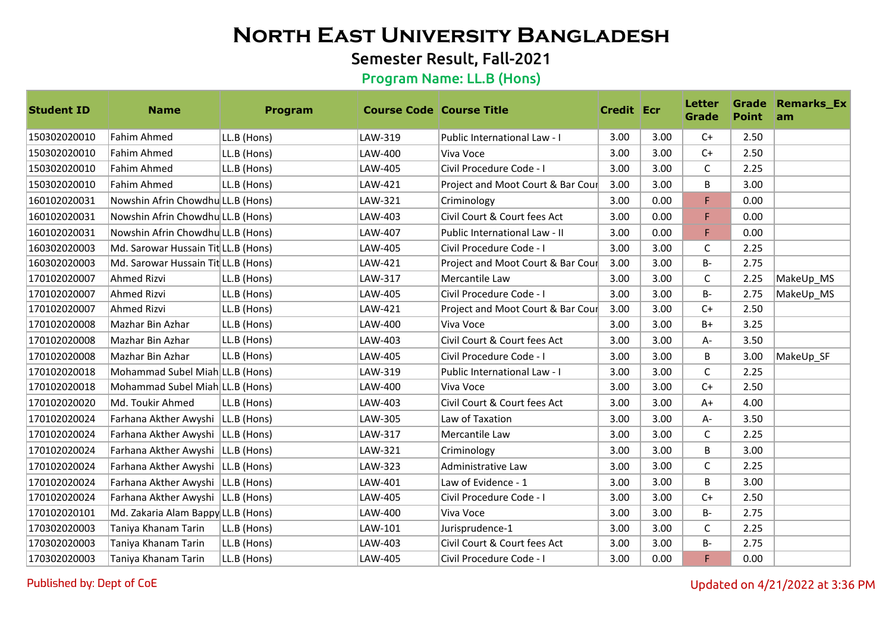## Semester Result, Fall-2021

#### Program Name: LL.B (Hons)

| <b>Student ID</b> | <b>Name</b>                         | Program     | <b>Course Code   Course Title</b> |                                   | <b>Credit Ecr</b> |      | <b>Letter</b><br>Grade | <b>Point</b> | <b>Grade Remarks_Ex</b><br>am |
|-------------------|-------------------------------------|-------------|-----------------------------------|-----------------------------------|-------------------|------|------------------------|--------------|-------------------------------|
| 150302020010      | <b>Fahim Ahmed</b>                  | LL.B (Hons) | LAW-319                           | Public International Law - I      | 3.00              | 3.00 | $C+$                   | 2.50         |                               |
| 150302020010      | Fahim Ahmed                         | LL.B (Hons) | LAW-400                           | Viva Voce                         | 3.00              | 3.00 | $C+$                   | 2.50         |                               |
| 150302020010      | <b>Fahim Ahmed</b>                  | LL.B (Hons) | LAW-405                           | Civil Procedure Code - I          | 3.00              | 3.00 | $\mathsf{C}$           | 2.25         |                               |
| 150302020010      | Fahim Ahmed                         | LL.B (Hons) | LAW-421                           | Project and Moot Court & Bar Cour | 3.00              | 3.00 | B                      | 3.00         |                               |
| 160102020031      | Nowshin Afrin Chowdhu LL.B (Hons)   |             | LAW-321                           | Criminology                       | 3.00              | 0.00 | F                      | 0.00         |                               |
| 160102020031      | Nowshin Afrin Chowdhu LL.B (Hons)   |             | LAW-403                           | Civil Court & Court fees Act      | 3.00              | 0.00 | F                      | 0.00         |                               |
| 160102020031      | Nowshin Afrin Chowdhu LL.B (Hons)   |             | LAW-407                           | Public International Law - II     | 3.00              | 0.00 | F                      | 0.00         |                               |
| 160302020003      | Md. Sarowar Hussain Tit LL.B (Hons) |             | LAW-405                           | Civil Procedure Code - I          | 3.00              | 3.00 | C                      | 2.25         |                               |
| 160302020003      | Md. Sarowar Hussain Tit LL.B (Hons) |             | LAW-421                           | Project and Moot Court & Bar Cour | 3.00              | 3.00 | $B -$                  | 2.75         |                               |
| 170102020007      | Ahmed Rizvi                         | LL.B (Hons) | LAW-317                           | Mercantile Law                    | 3.00              | 3.00 | C                      | 2.25         | MakeUp_MS                     |
| 170102020007      | Ahmed Rizvi                         | LL.B (Hons) | LAW-405                           | Civil Procedure Code - I          | 3.00              | 3.00 | <b>B-</b>              | 2.75         | MakeUp_MS                     |
| 170102020007      | Ahmed Rizvi                         | LL.B (Hons) | LAW-421                           | Project and Moot Court & Bar Cour | 3.00              | 3.00 | $C+$                   | 2.50         |                               |
| 170102020008      | Mazhar Bin Azhar                    | LL.B (Hons) | LAW-400                           | Viva Voce                         | 3.00              | 3.00 | $B+$                   | 3.25         |                               |
| 170102020008      | Mazhar Bin Azhar                    | LL.B (Hons) | LAW-403                           | Civil Court & Court fees Act      | 3.00              | 3.00 | A-                     | 3.50         |                               |
| 170102020008      | Mazhar Bin Azhar                    | LL.B (Hons) | LAW-405                           | Civil Procedure Code - I          | 3.00              | 3.00 | B                      | 3.00         | MakeUp SF                     |
| 170102020018      | Mohammad Subel Miah LL.B (Hons)     |             | LAW-319                           | Public International Law - I      | 3.00              | 3.00 | $\mathsf{C}$           | 2.25         |                               |
| 170102020018      | Mohammad Subel Miah LL.B (Hons)     |             | LAW-400                           | Viva Voce                         | 3.00              | 3.00 | $C+$                   | 2.50         |                               |
| 170102020020      | Md. Toukir Ahmed                    | LL.B (Hons) | LAW-403                           | Civil Court & Court fees Act      | 3.00              | 3.00 | $A+$                   | 4.00         |                               |
| 170102020024      | Farhana Akther Awyshi   LL.B (Hons) |             | LAW-305                           | Law of Taxation                   | 3.00              | 3.00 | $A -$                  | 3.50         |                               |
| 170102020024      | Farhana Akther Awyshi   LL.B (Hons) |             | LAW-317                           | Mercantile Law                    | 3.00              | 3.00 | C                      | 2.25         |                               |
| 170102020024      | Farhana Akther Awyshi   LL.B (Hons) |             | LAW-321                           | Criminology                       | 3.00              | 3.00 | B                      | 3.00         |                               |
| 170102020024      | Farhana Akther Awyshi   LL.B (Hons) |             | LAW-323                           | Administrative Law                | 3.00              | 3.00 | C                      | 2.25         |                               |
| 170102020024      | Farhana Akther Awyshi   LL.B (Hons) |             | LAW-401                           | Law of Evidence - 1               | 3.00              | 3.00 | B                      | 3.00         |                               |
| 170102020024      | Farhana Akther Awyshi   LL.B (Hons) |             | LAW-405                           | Civil Procedure Code - I          | 3.00              | 3.00 | $C+$                   | 2.50         |                               |
| 170102020101      | Md. Zakaria Alam Bappy LL.B (Hons)  |             | LAW-400                           | Viva Voce                         | 3.00              | 3.00 | B-                     | 2.75         |                               |
| 170302020003      | Taniya Khanam Tarin                 | LL.B (Hons) | LAW-101                           | Jurisprudence-1                   | 3.00              | 3.00 | $\mathsf{C}$           | 2.25         |                               |
| 170302020003      | Taniya Khanam Tarin                 | LL.B (Hons) | LAW-403                           | Civil Court & Court fees Act      | 3.00              | 3.00 | <b>B-</b>              | 2.75         |                               |
| 170302020003      | Taniya Khanam Tarin                 | LL.B (Hons) | LAW-405                           | Civil Procedure Code - I          | 3.00              | 0.00 | F                      | 0.00         |                               |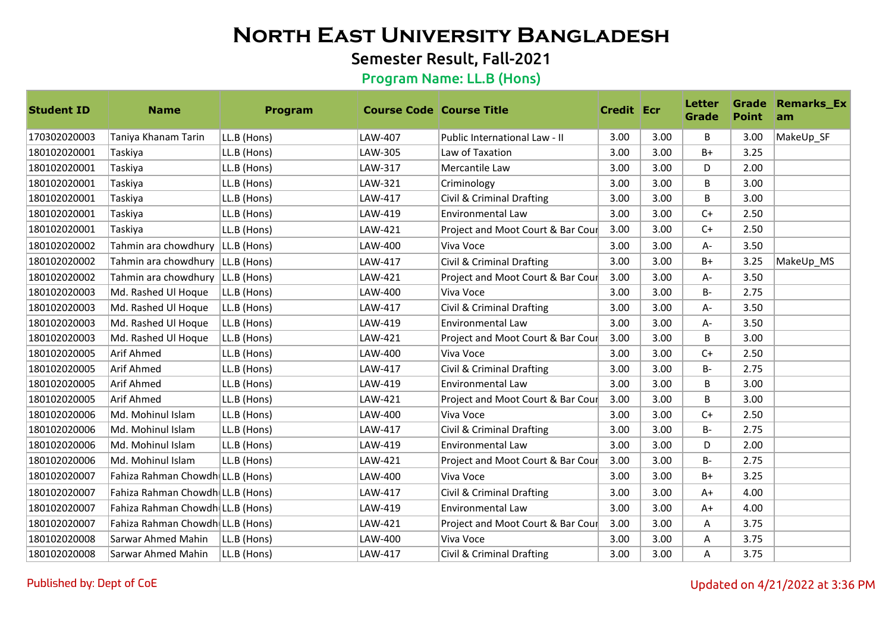## Semester Result, Fall-2021

| <b>Student ID</b> | <b>Name</b>                        | Program     | <b>Course Code Course Title</b> |                                   | <b>Credit Ecr</b> |      | <b>Letter</b><br><b>Grade</b> | <b>Point</b> | <b>Grade Remarks_Ex</b><br>am |
|-------------------|------------------------------------|-------------|---------------------------------|-----------------------------------|-------------------|------|-------------------------------|--------------|-------------------------------|
| 170302020003      | Taniya Khanam Tarin                | LL.B (Hons) | LAW-407                         | Public International Law - II     | 3.00              | 3.00 | B                             | 3.00         | MakeUp_SF                     |
| 180102020001      | Taskiya                            | LL.B (Hons) | LAW-305                         | Law of Taxation                   | 3.00              | 3.00 | $B+$                          | 3.25         |                               |
| 180102020001      | Taskiya                            | LL.B (Hons) | LAW-317                         | Mercantile Law                    | 3.00              | 3.00 | D                             | 2.00         |                               |
| 180102020001      | Taskiya                            | LL.B (Hons) | LAW-321                         | Criminology                       | 3.00              | 3.00 | B                             | 3.00         |                               |
| 180102020001      | Taskiya                            | LL.B (Hons) | LAW-417                         | Civil & Criminal Drafting         | 3.00              | 3.00 | B                             | 3.00         |                               |
| 180102020001      | Taskiya                            | LL.B (Hons) | LAW-419                         | <b>Environmental Law</b>          | 3.00              | 3.00 | $C+$                          | 2.50         |                               |
| 180102020001      | Taskiya                            | LL.B (Hons) | LAW-421                         | Project and Moot Court & Bar Cour | 3.00              | 3.00 | $C+$                          | 2.50         |                               |
| 180102020002      | Tahmin ara chowdhury   LL.B (Hons) |             | LAW-400                         | Viva Voce                         | 3.00              | 3.00 | A-                            | 3.50         |                               |
| 180102020002      | Tahmin ara chowdhury   LL.B (Hons) |             | LAW-417                         | Civil & Criminal Drafting         | 3.00              | 3.00 | $B+$                          | 3.25         | MakeUp_MS                     |
| 180102020002      | Tahmin ara chowdhury   LL.B (Hons) |             | LAW-421                         | Project and Moot Court & Bar Cour | 3.00              | 3.00 | A-                            | 3.50         |                               |
| 180102020003      | Md. Rashed Ul Hoque                | LL.B (Hons) | LAW-400                         | Viva Voce                         | 3.00              | 3.00 | $B -$                         | 2.75         |                               |
| 180102020003      | Md. Rashed Ul Hoque                | LL.B (Hons) | LAW-417                         | Civil & Criminal Drafting         | 3.00              | 3.00 | A-                            | 3.50         |                               |
| 180102020003      | Md. Rashed Ul Hoque                | LL.B (Hons) | LAW-419                         | <b>Environmental Law</b>          | 3.00              | 3.00 | A-                            | 3.50         |                               |
| 180102020003      | Md. Rashed Ul Hoque                | LL.B (Hons) | LAW-421                         | Project and Moot Court & Bar Cour | 3.00              | 3.00 | B                             | 3.00         |                               |
| 180102020005      | Arif Ahmed                         | LL.B (Hons) | LAW-400                         | Viva Voce                         | 3.00              | 3.00 | $C+$                          | 2.50         |                               |
| 180102020005      | Arif Ahmed                         | LL.B (Hons) | LAW-417                         | Civil & Criminal Drafting         | 3.00              | 3.00 | B-                            | 2.75         |                               |
| 180102020005      | Arif Ahmed                         | LL.B (Hons) | LAW-419                         | Environmental Law                 | 3.00              | 3.00 | B                             | 3.00         |                               |
| 180102020005      | Arif Ahmed                         | LL.B (Hons) | LAW-421                         | Project and Moot Court & Bar Cour | 3.00              | 3.00 | B                             | 3.00         |                               |
| 180102020006      | Md. Mohinul Islam                  | LL.B (Hons) | LAW-400                         | Viva Voce                         | 3.00              | 3.00 | $C+$                          | 2.50         |                               |
| 180102020006      | Md. Mohinul Islam                  | LL.B (Hons) | LAW-417                         | Civil & Criminal Drafting         | 3.00              | 3.00 | B-                            | 2.75         |                               |
| 180102020006      | Md. Mohinul Islam                  | LL.B (Hons) | LAW-419                         | Environmental Law                 | 3.00              | 3.00 | D                             | 2.00         |                               |
| 180102020006      | Md. Mohinul Islam                  | LL.B (Hons) | LAW-421                         | Project and Moot Court & Bar Cour | 3.00              | 3.00 | $B -$                         | 2.75         |                               |
| 180102020007      | Fahiza Rahman Chowdh LL.B (Hons)   |             | LAW-400                         | Viva Voce                         | 3.00              | 3.00 | $B+$                          | 3.25         |                               |
| 180102020007      | Fahiza Rahman Chowdh LL.B (Hons)   |             | LAW-417                         | Civil & Criminal Drafting         | 3.00              | 3.00 | $A+$                          | 4.00         |                               |
| 180102020007      | Fahiza Rahman Chowdh LL.B (Hons)   |             | LAW-419                         | Environmental Law                 | 3.00              | 3.00 | $A+$                          | 4.00         |                               |
| 180102020007      | Fahiza Rahman Chowdh LL.B (Hons)   |             | LAW-421                         | Project and Moot Court & Bar Cour | 3.00              | 3.00 | A                             | 3.75         |                               |
| 180102020008      | Sarwar Ahmed Mahin                 | LL.B (Hons) | LAW-400                         | Viva Voce                         | 3.00              | 3.00 | A                             | 3.75         |                               |
| 180102020008      | Sarwar Ahmed Mahin                 | LL.B (Hons) | LAW-417                         | Civil & Criminal Drafting         | 3.00              | 3.00 | A                             | 3.75         |                               |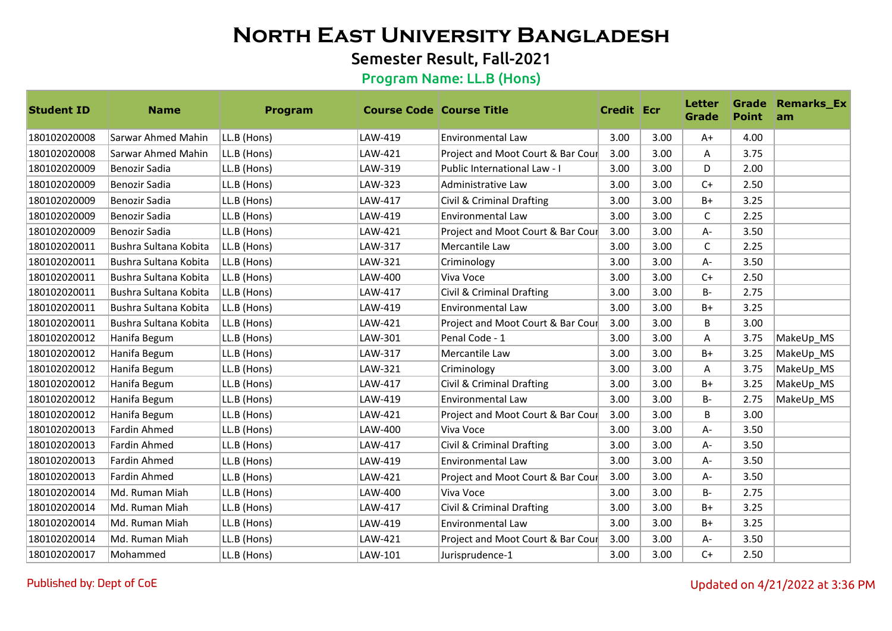## Semester Result, Fall-2021

| <b>Student ID</b> | <b>Name</b>           | Program     | <b>Course Code   Course Title</b> |                                   | <b>Credit Ecr</b> |      | <b>Letter</b><br><b>Grade</b> | <b>Point</b> | <b>Grade Remarks_Ex</b><br>am |
|-------------------|-----------------------|-------------|-----------------------------------|-----------------------------------|-------------------|------|-------------------------------|--------------|-------------------------------|
| 180102020008      | Sarwar Ahmed Mahin    | LL.B (Hons) | LAW-419                           | <b>Environmental Law</b>          | 3.00              | 3.00 | $A+$                          | 4.00         |                               |
| 180102020008      | Sarwar Ahmed Mahin    | LL.B (Hons) | LAW-421                           | Project and Moot Court & Bar Cour | 3.00              | 3.00 | A                             | 3.75         |                               |
| 180102020009      | <b>Benozir Sadia</b>  | LL.B (Hons) | LAW-319                           | Public International Law - I      | 3.00              | 3.00 | D                             | 2.00         |                               |
| 180102020009      | <b>Benozir Sadia</b>  | LL.B (Hons) | LAW-323                           | Administrative Law                | 3.00              | 3.00 | $C+$                          | 2.50         |                               |
| 180102020009      | Benozir Sadia         | LL.B (Hons) | LAW-417                           | Civil & Criminal Drafting         | 3.00              | 3.00 | $B+$                          | 3.25         |                               |
| 180102020009      | <b>Benozir Sadia</b>  | LL.B (Hons) | LAW-419                           | <b>Environmental Law</b>          | 3.00              | 3.00 | C                             | 2.25         |                               |
| 180102020009      | Benozir Sadia         | LL.B (Hons) | LAW-421                           | Project and Moot Court & Bar Cour | 3.00              | 3.00 | $A -$                         | 3.50         |                               |
| 180102020011      | Bushra Sultana Kobita | LL.B (Hons) | LAW-317                           | Mercantile Law                    | 3.00              | 3.00 | C                             | 2.25         |                               |
| 180102020011      | Bushra Sultana Kobita | LL.B (Hons) | LAW-321                           | Criminology                       | 3.00              | 3.00 | $A -$                         | 3.50         |                               |
| 180102020011      | Bushra Sultana Kobita | LL.B (Hons) | LAW-400                           | Viva Voce                         | 3.00              | 3.00 | $C+$                          | 2.50         |                               |
| 180102020011      | Bushra Sultana Kobita | LL.B (Hons) | LAW-417                           | Civil & Criminal Drafting         | 3.00              | 3.00 | B-                            | 2.75         |                               |
| 180102020011      | Bushra Sultana Kobita | LL.B (Hons) | LAW-419                           | <b>Environmental Law</b>          | 3.00              | 3.00 | $B+$                          | 3.25         |                               |
| 180102020011      | Bushra Sultana Kobita | LL.B (Hons) | LAW-421                           | Project and Moot Court & Bar Cour | 3.00              | 3.00 | B                             | 3.00         |                               |
| 180102020012      | Hanifa Begum          | LL.B (Hons) | LAW-301                           | Penal Code - 1                    | 3.00              | 3.00 | A                             | 3.75         | MakeUp_MS                     |
| 180102020012      | Hanifa Begum          | LL.B (Hons) | LAW-317                           | Mercantile Law                    | 3.00              | 3.00 | $B+$                          | 3.25         | MakeUp_MS                     |
| 180102020012      | Hanifa Begum          | LL.B (Hons) | LAW-321                           | Criminology                       | 3.00              | 3.00 | Α                             | 3.75         | MakeUp_MS                     |
| 180102020012      | Hanifa Begum          | LL.B (Hons) | LAW-417                           | Civil & Criminal Drafting         | 3.00              | 3.00 | $B+$                          | 3.25         | MakeUp_MS                     |
| 180102020012      | Hanifa Begum          | LL.B (Hons) | LAW-419                           | <b>Environmental Law</b>          | 3.00              | 3.00 | $B -$                         | 2.75         | MakeUp_MS                     |
| 180102020012      | Hanifa Begum          | LL.B (Hons) | LAW-421                           | Project and Moot Court & Bar Cour | 3.00              | 3.00 | B                             | 3.00         |                               |
| 180102020013      | <b>Fardin Ahmed</b>   | LL.B (Hons) | LAW-400                           | Viva Voce                         | 3.00              | 3.00 | $A -$                         | 3.50         |                               |
| 180102020013      | <b>Fardin Ahmed</b>   | LL.B (Hons) | LAW-417                           | Civil & Criminal Drafting         | 3.00              | 3.00 | $A -$                         | 3.50         |                               |
| 180102020013      | <b>Fardin Ahmed</b>   | LL.B (Hons) | LAW-419                           | <b>Environmental Law</b>          | 3.00              | 3.00 | A-                            | 3.50         |                               |
| 180102020013      | <b>Fardin Ahmed</b>   | LL.B (Hons) | LAW-421                           | Project and Moot Court & Bar Cour | 3.00              | 3.00 | $A -$                         | 3.50         |                               |
| 180102020014      | Md. Ruman Miah        | LL.B (Hons) | LAW-400                           | Viva Voce                         | 3.00              | 3.00 | <b>B-</b>                     | 2.75         |                               |
| 180102020014      | Md. Ruman Miah        | LL.B (Hons) | LAW-417                           | Civil & Criminal Drafting         | 3.00              | 3.00 | $B+$                          | 3.25         |                               |
| 180102020014      | Md. Ruman Miah        | LL.B (Hons) | LAW-419                           | <b>Environmental Law</b>          | 3.00              | 3.00 | $B+$                          | 3.25         |                               |
| 180102020014      | Md. Ruman Miah        | LL.B (Hons) | LAW-421                           | Project and Moot Court & Bar Cour | 3.00              | 3.00 | $A -$                         | 3.50         |                               |
| 180102020017      | Mohammed              | LL.B (Hons) | LAW-101                           | Jurisprudence-1                   | 3.00              | 3.00 | $C+$                          | 2.50         |                               |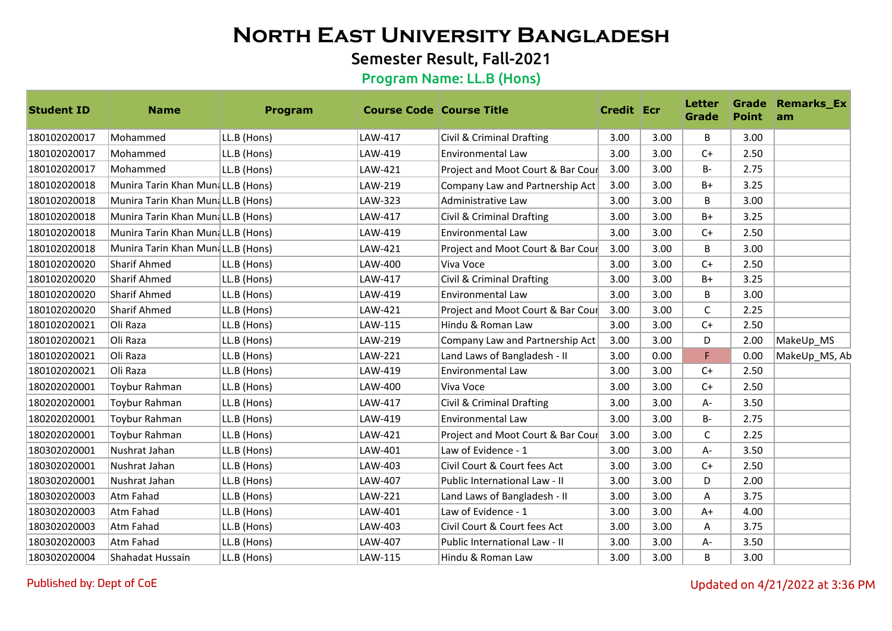## Semester Result, Fall-2021

| <b>Student ID</b> | <b>Name</b>                       | Program     | <b>Course Code Course Title</b> |                                   | <b>Credit Ecr</b> |      | <b>Letter</b><br><b>Grade</b> | <b>Point</b> | <b>Grade Remarks_Ex</b><br>am |
|-------------------|-----------------------------------|-------------|---------------------------------|-----------------------------------|-------------------|------|-------------------------------|--------------|-------------------------------|
| 180102020017      | Mohammed                          | LL.B (Hons) | LAW-417                         | Civil & Criminal Drafting         | 3.00              | 3.00 | B                             | 3.00         |                               |
| 180102020017      | Mohammed                          | LL.B (Hons) | LAW-419                         | Environmental Law                 | 3.00              | 3.00 | $C+$                          | 2.50         |                               |
| 180102020017      | Mohammed                          | LL.B (Hons) | LAW-421                         | Project and Moot Court & Bar Cour | 3.00              | 3.00 | $B -$                         | 2.75         |                               |
| 180102020018      | Munira Tarin Khan MundLL.B (Hons) |             | LAW-219                         | Company Law and Partnership Act   | 3.00              | 3.00 | B+                            | 3.25         |                               |
| 180102020018      | Munira Tarin Khan MundLL.B (Hons) |             | LAW-323                         | Administrative Law                | 3.00              | 3.00 | B                             | 3.00         |                               |
| 180102020018      | Munira Tarin Khan MundLL.B (Hons) |             | LAW-417                         | Civil & Criminal Drafting         | 3.00              | 3.00 | $B+$                          | 3.25         |                               |
| 180102020018      | Munira Tarin Khan MundLL.B (Hons) |             | LAW-419                         | Environmental Law                 | 3.00              | 3.00 | $C+$                          | 2.50         |                               |
| 180102020018      | Munira Tarin Khan MundLL.B (Hons) |             | LAW-421                         | Project and Moot Court & Bar Cour | 3.00              | 3.00 | B                             | 3.00         |                               |
| 180102020020      | Sharif Ahmed                      | LL.B (Hons) | LAW-400                         | Viva Voce                         | 3.00              | 3.00 | $C+$                          | 2.50         |                               |
| 180102020020      | Sharif Ahmed                      | LL.B (Hons) | LAW-417                         | Civil & Criminal Drafting         | 3.00              | 3.00 | B+                            | 3.25         |                               |
| 180102020020      | Sharif Ahmed                      | LL.B (Hons) | LAW-419                         | Environmental Law                 | 3.00              | 3.00 | B                             | 3.00         |                               |
| 180102020020      | Sharif Ahmed                      | LL.B (Hons) | LAW-421                         | Project and Moot Court & Bar Cour | 3.00              | 3.00 | $\mathsf{C}$                  | 2.25         |                               |
| 180102020021      | Oli Raza                          | LL.B (Hons) | LAW-115                         | Hindu & Roman Law                 | 3.00              | 3.00 | $C+$                          | 2.50         |                               |
| 180102020021      | Oli Raza                          | LL.B (Hons) | LAW-219                         | Company Law and Partnership Act   | 3.00              | 3.00 | D                             | 2.00         | MakeUp_MS                     |
| 180102020021      | Oli Raza                          | LL.B (Hons) | LAW-221                         | Land Laws of Bangladesh - II      | 3.00              | 0.00 | F.                            | 0.00         | MakeUp_MS, Ab                 |
| 180102020021      | Oli Raza                          | LL.B (Hons) | LAW-419                         | Environmental Law                 | 3.00              | 3.00 | $C+$                          | 2.50         |                               |
| 180202020001      | Toybur Rahman                     | LL.B (Hons) | LAW-400                         | Viva Voce                         | 3.00              | 3.00 | $C+$                          | 2.50         |                               |
| 180202020001      | <b>Toybur Rahman</b>              | LL.B (Hons) | LAW-417                         | Civil & Criminal Drafting         | 3.00              | 3.00 | A-                            | 3.50         |                               |
| 180202020001      | Toybur Rahman                     | LL.B (Hons) | LAW-419                         | <b>Environmental Law</b>          | 3.00              | 3.00 | <b>B-</b>                     | 2.75         |                               |
| 180202020001      | Toybur Rahman                     | LL.B (Hons) | LAW-421                         | Project and Moot Court & Bar Cour | 3.00              | 3.00 | $\mathsf{C}$                  | 2.25         |                               |
| 180302020001      | Nushrat Jahan                     | LL.B (Hons) | LAW-401                         | Law of Evidence - 1               | 3.00              | 3.00 | A-                            | 3.50         |                               |
| 180302020001      | Nushrat Jahan                     | LL.B (Hons) | LAW-403                         | Civil Court & Court fees Act      | 3.00              | 3.00 | $C+$                          | 2.50         |                               |
| 180302020001      | Nushrat Jahan                     | LL.B (Hons) | LAW-407                         | Public International Law - II     | 3.00              | 3.00 | D                             | 2.00         |                               |
| 180302020003      | Atm Fahad                         | LL.B (Hons) | LAW-221                         | Land Laws of Bangladesh - II      | 3.00              | 3.00 | A                             | 3.75         |                               |
| 180302020003      | Atm Fahad                         | LL.B (Hons) | LAW-401                         | Law of Evidence - 1               | 3.00              | 3.00 | $A+$                          | 4.00         |                               |
| 180302020003      | Atm Fahad                         | LL.B (Hons) | LAW-403                         | Civil Court & Court fees Act      | 3.00              | 3.00 | A                             | 3.75         |                               |
| 180302020003      | Atm Fahad                         | LL.B (Hons) | LAW-407                         | Public International Law - II     | 3.00              | 3.00 | A-                            | 3.50         |                               |
| 180302020004      | Shahadat Hussain                  | LL.B (Hons) | LAW-115                         | Hindu & Roman Law                 | 3.00              | 3.00 | B                             | 3.00         |                               |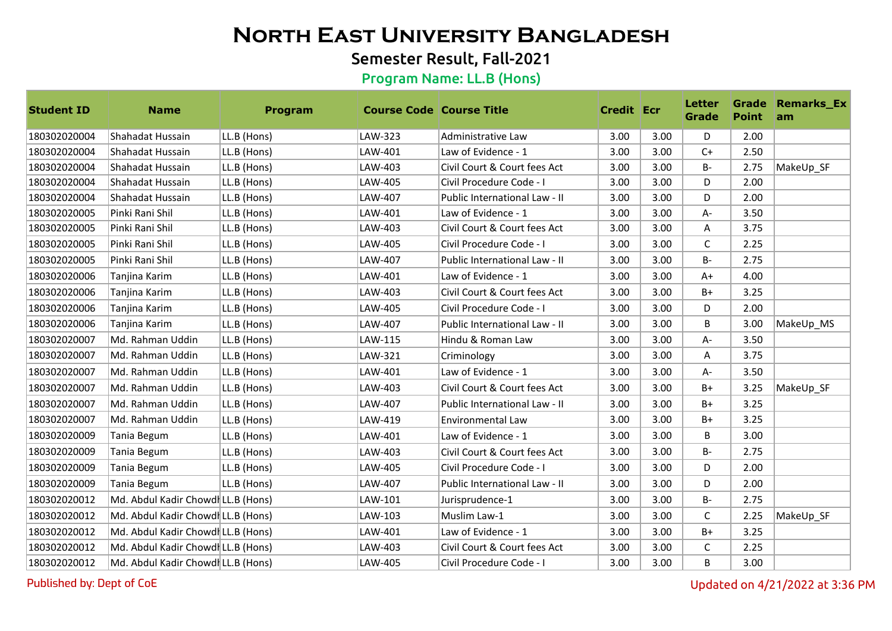## Semester Result, Fall-2021

#### Program Name: LL.B (Hons)

| <b>Student ID</b> | <b>Name</b>                        | Program     | <b>Course Code Course Title</b> |                               | <b>Credit Ecr</b> |      | <b>Letter</b><br><b>Grade</b> | <b>Point</b> | <b>Grade Remarks Ex</b><br>am |
|-------------------|------------------------------------|-------------|---------------------------------|-------------------------------|-------------------|------|-------------------------------|--------------|-------------------------------|
| 180302020004      | Shahadat Hussain                   | LL.B (Hons) | LAW-323                         | Administrative Law            | 3.00              | 3.00 | D                             | 2.00         |                               |
| 180302020004      | Shahadat Hussain                   | LL.B (Hons) | LAW-401                         | Law of Evidence - 1           | 3.00              | 3.00 | $C+$                          | 2.50         |                               |
| 180302020004      | Shahadat Hussain                   | LL.B (Hons) | LAW-403                         | Civil Court & Court fees Act  | 3.00              | 3.00 | $B -$                         | 2.75         | MakeUp SF                     |
| 180302020004      | Shahadat Hussain                   | LL.B (Hons) | LAW-405                         | Civil Procedure Code - I      | 3.00              | 3.00 | D                             | 2.00         |                               |
| 180302020004      | Shahadat Hussain                   | LL.B (Hons) | LAW-407                         | Public International Law - II | 3.00              | 3.00 | D                             | 2.00         |                               |
| 180302020005      | Pinki Rani Shil                    | LL.B (Hons) | LAW-401                         | Law of Evidence - 1           | 3.00              | 3.00 | A-                            | 3.50         |                               |
| 180302020005      | Pinki Rani Shil                    | LL.B (Hons) | LAW-403                         | Civil Court & Court fees Act  | 3.00              | 3.00 | Α                             | 3.75         |                               |
| 180302020005      | Pinki Rani Shil                    | LL.B (Hons) | LAW-405                         | Civil Procedure Code - I      | 3.00              | 3.00 | C                             | 2.25         |                               |
| 180302020005      | Pinki Rani Shil                    | LL.B (Hons) | LAW-407                         | Public International Law - II | 3.00              | 3.00 | $B -$                         | 2.75         |                               |
| 180302020006      | Tanjina Karim                      | LL.B (Hons) | LAW-401                         | Law of Evidence - 1           | 3.00              | 3.00 | $A+$                          | 4.00         |                               |
| 180302020006      | Tanjina Karim                      | LL.B (Hons) | LAW-403                         | Civil Court & Court fees Act  | 3.00              | 3.00 | $B+$                          | 3.25         |                               |
| 180302020006      | Tanjina Karim                      | LL.B (Hons) | LAW-405                         | Civil Procedure Code - I      | 3.00              | 3.00 | D                             | 2.00         |                               |
| 180302020006      | Tanjina Karim                      | LL.B (Hons) | LAW-407                         | Public International Law - II | 3.00              | 3.00 | B                             | 3.00         | MakeUp_MS                     |
| 180302020007      | Md. Rahman Uddin                   | LL.B (Hons) | LAW-115                         | Hindu & Roman Law             | 3.00              | 3.00 | A-                            | 3.50         |                               |
| 180302020007      | Md. Rahman Uddin                   | LL.B (Hons) | LAW-321                         | Criminology                   | 3.00              | 3.00 | Α                             | 3.75         |                               |
| 180302020007      | Md. Rahman Uddin                   | LL.B (Hons) | LAW-401                         | Law of Evidence - 1           | 3.00              | 3.00 | A-                            | 3.50         |                               |
| 180302020007      | Md. Rahman Uddin                   | LL.B (Hons) | LAW-403                         | Civil Court & Court fees Act  | 3.00              | 3.00 | $B+$                          | 3.25         | MakeUp SF                     |
| 180302020007      | Md. Rahman Uddin                   | LL.B (Hons) | LAW-407                         | Public International Law - II | 3.00              | 3.00 | $B+$                          | 3.25         |                               |
| 180302020007      | Md. Rahman Uddin                   | LL.B (Hons) | LAW-419                         | Environmental Law             | 3.00              | 3.00 | $B+$                          | 3.25         |                               |
| 180302020009      | Tania Begum                        | LL.B (Hons) | LAW-401                         | Law of Evidence - 1           | 3.00              | 3.00 | B                             | 3.00         |                               |
| 180302020009      | Tania Begum                        | LL.B (Hons) | LAW-403                         | Civil Court & Court fees Act  | 3.00              | 3.00 | B-                            | 2.75         |                               |
| 180302020009      | Tania Begum                        | LL.B (Hons) | LAW-405                         | Civil Procedure Code - I      | 3.00              | 3.00 | D                             | 2.00         |                               |
| 180302020009      | Tania Begum                        | LL.B (Hons) | LAW-407                         | Public International Law - II | 3.00              | 3.00 | D                             | 2.00         |                               |
| 180302020012      | Md. Abdul Kadir Chowdl LL.B (Hons) |             | LAW-101                         | Jurisprudence-1               | 3.00              | 3.00 | $B -$                         | 2.75         |                               |
| 180302020012      | Md. Abdul Kadir Chowdl LL.B (Hons) |             | LAW-103                         | Muslim Law-1                  | 3.00              | 3.00 | C                             | 2.25         | MakeUp_SF                     |
| 180302020012      | Md. Abdul Kadir Chowdl LL.B (Hons) |             | LAW-401                         | Law of Evidence - 1           | 3.00              | 3.00 | $B+$                          | 3.25         |                               |
| 180302020012      | Md. Abdul Kadir Chowdl LL.B (Hons) |             | LAW-403                         | Civil Court & Court fees Act  | 3.00              | 3.00 | C                             | 2.25         |                               |
| 180302020012      | Md. Abdul Kadir Chowdl LL.B (Hons) |             | LAW-405                         | Civil Procedure Code - I      | 3.00              | 3.00 | B                             | 3.00         |                               |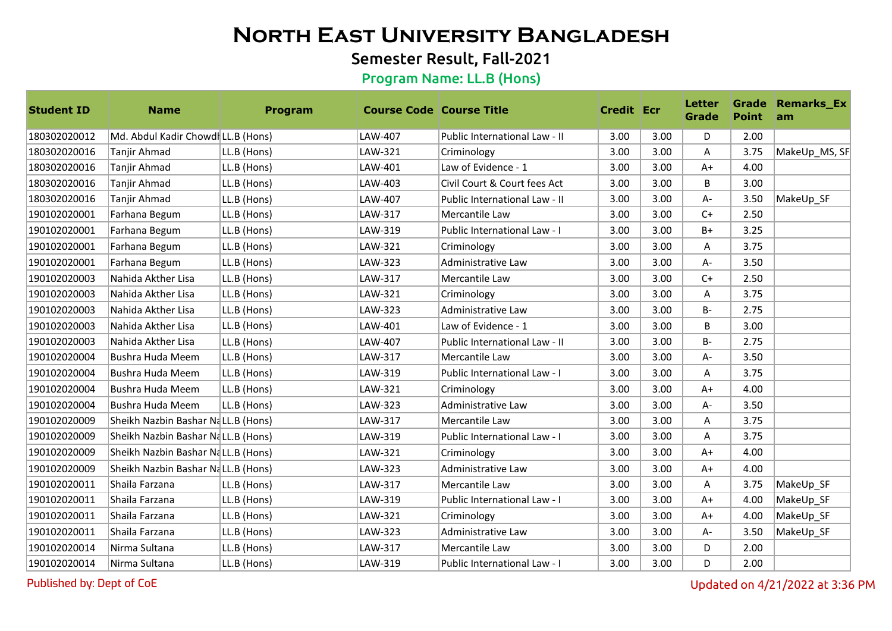## Semester Result, Fall-2021

#### Program Name: LL.B (Hons)

| <b>Student ID</b> | <b>Name</b>                        | <b>Program</b> | <b>Course Code Course Title</b> |                               | <b>Credit Ecr</b> |      | Letter<br>Grade | <b>Point</b> | <b>Grade Remarks_Ex</b><br>am |
|-------------------|------------------------------------|----------------|---------------------------------|-------------------------------|-------------------|------|-----------------|--------------|-------------------------------|
| 180302020012      | Md. Abdul Kadir Chowdl LL.B (Hons) |                | LAW-407                         | Public International Law - II | 3.00              | 3.00 | D               | 2.00         |                               |
| 180302020016      | Tanjir Ahmad                       | LL.B (Hons)    | LAW-321                         | Criminology                   | 3.00              | 3.00 | A               | 3.75         | MakeUp_MS, SF                 |
| 180302020016      | Tanjir Ahmad                       | LL.B (Hons)    | LAW-401                         | Law of Evidence - 1           | 3.00              | 3.00 | $A+$            | 4.00         |                               |
| 180302020016      | Tanjir Ahmad                       | LL.B (Hons)    | LAW-403                         | Civil Court & Court fees Act  | 3.00              | 3.00 | B.              | 3.00         |                               |
| 180302020016      | Tanjir Ahmad                       | LL.B (Hons)    | LAW-407                         | Public International Law - II | 3.00              | 3.00 | A-              | 3.50         | MakeUp SF                     |
| 190102020001      | Farhana Begum                      | LL.B (Hons)    | LAW-317                         | Mercantile Law                | 3.00              | 3.00 | $C+$            | 2.50         |                               |
| 190102020001      | Farhana Begum                      | LL.B (Hons)    | LAW-319                         | Public International Law - I  | 3.00              | 3.00 | $B+$            | 3.25         |                               |
| 190102020001      | Farhana Begum                      | LL.B (Hons)    | LAW-321                         | Criminology                   | 3.00              | 3.00 | A               | 3.75         |                               |
| 190102020001      | Farhana Begum                      | LL.B (Hons)    | LAW-323                         | Administrative Law            | 3.00              | 3.00 | $A -$           | 3.50         |                               |
| 190102020003      | Nahida Akther Lisa                 | LL.B (Hons)    | LAW-317                         | Mercantile Law                | 3.00              | 3.00 | $C+$            | 2.50         |                               |
| 190102020003      | Nahida Akther Lisa                 | LL.B (Hons)    | LAW-321                         | Criminology                   | 3.00              | 3.00 | A               | 3.75         |                               |
| 190102020003      | Nahida Akther Lisa                 | LL.B (Hons)    | LAW-323                         | Administrative Law            | 3.00              | 3.00 | $B -$           | 2.75         |                               |
| 190102020003      | Nahida Akther Lisa                 | LL.B (Hons)    | LAW-401                         | Law of Evidence - 1           | 3.00              | 3.00 | B               | 3.00         |                               |
| 190102020003      | Nahida Akther Lisa                 | LL.B (Hons)    | LAW-407                         | Public International Law - II | 3.00              | 3.00 | $B -$           | 2.75         |                               |
| 190102020004      | Bushra Huda Meem                   | LL.B (Hons)    | LAW-317                         | Mercantile Law                | 3.00              | 3.00 | $A -$           | 3.50         |                               |
| 190102020004      | Bushra Huda Meem                   | LL.B (Hons)    | LAW-319                         | Public International Law - I  | 3.00              | 3.00 | A               | 3.75         |                               |
| 190102020004      | Bushra Huda Meem                   | LL.B (Hons)    | LAW-321                         | Criminology                   | 3.00              | 3.00 | $A+$            | 4.00         |                               |
| 190102020004      | Bushra Huda Meem                   | LL.B (Hons)    | LAW-323                         | Administrative Law            | 3.00              | 3.00 | $A -$           | 3.50         |                               |
| 190102020009      | Sheikh Nazbin Bashar NaLL.B (Hons) |                | LAW-317                         | Mercantile Law                | 3.00              | 3.00 | A               | 3.75         |                               |
| 190102020009      | Sheikh Nazbin Bashar NaLL.B (Hons) |                | LAW-319                         | Public International Law - I  | 3.00              | 3.00 | A               | 3.75         |                               |
| 190102020009      | Sheikh Nazbin Bashar NaLL.B (Hons) |                | LAW-321                         | Criminology                   | 3.00              | 3.00 | $A+$            | 4.00         |                               |
| 190102020009      | Sheikh Nazbin Bashar NaLL.B (Hons) |                | LAW-323                         | Administrative Law            | 3.00              | 3.00 | $A+$            | 4.00         |                               |
| 190102020011      | Shaila Farzana                     | LL.B (Hons)    | LAW-317                         | Mercantile Law                | 3.00              | 3.00 | A               | 3.75         | MakeUp SF                     |
| 190102020011      | Shaila Farzana                     | LL.B (Hons)    | LAW-319                         | Public International Law - I  | 3.00              | 3.00 | $A+$            | 4.00         | MakeUp SF                     |
| 190102020011      | Shaila Farzana                     | LL.B (Hons)    | LAW-321                         | Criminology                   | 3.00              | 3.00 | $A+$            | 4.00         | MakeUp_SF                     |
| 190102020011      | Shaila Farzana                     | LL.B (Hons)    | LAW-323                         | Administrative Law            | 3.00              | 3.00 | $A -$           | 3.50         | MakeUp_SF                     |
| 190102020014      | Nirma Sultana                      | LL.B (Hons)    | LAW-317                         | Mercantile Law                | 3.00              | 3.00 | D               | 2.00         |                               |
| 190102020014      | Nirma Sultana                      | LL.B (Hons)    | LAW-319                         | Public International Law - I  | 3.00              | 3.00 | D               | 2.00         |                               |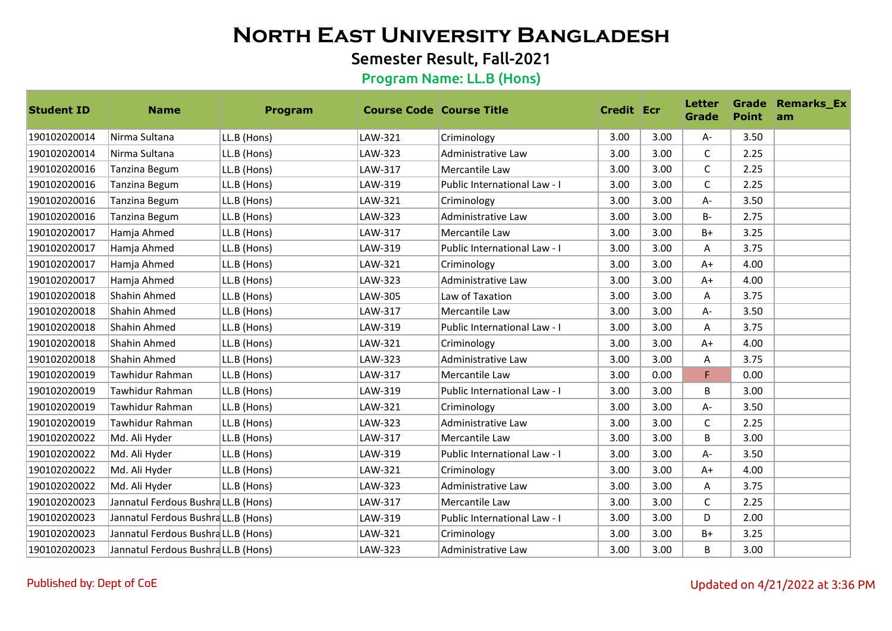## Semester Result, Fall-2021

| <b>Student ID</b> | <b>Name</b>                        | Program     | <b>Course Code Course Title</b> |                              | <b>Credit Ecr</b> |      | <b>Letter</b><br>Grade | <b>Point</b> | <b>Grade Remarks_Ex</b><br>am |
|-------------------|------------------------------------|-------------|---------------------------------|------------------------------|-------------------|------|------------------------|--------------|-------------------------------|
| 190102020014      | Nirma Sultana                      | LL.B (Hons) | LAW-321                         | Criminology                  | 3.00              | 3.00 | $A -$                  | 3.50         |                               |
| 190102020014      | Nirma Sultana                      | LL.B (Hons) | LAW-323                         | Administrative Law           | 3.00              | 3.00 | C                      | 2.25         |                               |
| 190102020016      | Tanzina Begum                      | LL.B (Hons) | LAW-317                         | Mercantile Law               | 3.00              | 3.00 | $\mathsf C$            | 2.25         |                               |
| 190102020016      | Tanzina Begum                      | LL.B (Hons) | LAW-319                         | Public International Law - I | 3.00              | 3.00 | C                      | 2.25         |                               |
| 190102020016      | Tanzina Begum                      | LL.B (Hons) | LAW-321                         | Criminology                  | 3.00              | 3.00 | A-                     | 3.50         |                               |
| 190102020016      | Tanzina Begum                      | LL.B (Hons) | LAW-323                         | Administrative Law           | 3.00              | 3.00 | <b>B-</b>              | 2.75         |                               |
| 190102020017      | Hamja Ahmed                        | LL.B (Hons) | LAW-317                         | Mercantile Law               | 3.00              | 3.00 | $B+$                   | 3.25         |                               |
| 190102020017      | Hamja Ahmed                        | LL.B (Hons) | LAW-319                         | Public International Law - I | 3.00              | 3.00 | A                      | 3.75         |                               |
| 190102020017      | Hamja Ahmed                        | LL.B (Hons) | LAW-321                         | Criminology                  | 3.00              | 3.00 | $A+$                   | 4.00         |                               |
| 190102020017      | Hamja Ahmed                        | LL.B (Hons) | LAW-323                         | Administrative Law           | 3.00              | 3.00 | $A+$                   | 4.00         |                               |
| 190102020018      | Shahin Ahmed                       | LL.B (Hons) | LAW-305                         | Law of Taxation              | 3.00              | 3.00 | Α                      | 3.75         |                               |
| 190102020018      | Shahin Ahmed                       | LL.B (Hons) | LAW-317                         | Mercantile Law               | 3.00              | 3.00 | А-                     | 3.50         |                               |
| 190102020018      | Shahin Ahmed                       | LL.B (Hons) | LAW-319                         | Public International Law - I | 3.00              | 3.00 | Α                      | 3.75         |                               |
| 190102020018      | Shahin Ahmed                       | LL.B (Hons) | LAW-321                         | Criminology                  | 3.00              | 3.00 | $A+$                   | 4.00         |                               |
| 190102020018      | Shahin Ahmed                       | LL.B (Hons) | LAW-323                         | Administrative Law           | 3.00              | 3.00 | A                      | 3.75         |                               |
| 190102020019      | Tawhidur Rahman                    | LL.B (Hons) | LAW-317                         | Mercantile Law               | 3.00              | 0.00 | F                      | 0.00         |                               |
| 190102020019      | Tawhidur Rahman                    | LL.B (Hons) | LAW-319                         | Public International Law - I | 3.00              | 3.00 | B                      | 3.00         |                               |
| 190102020019      | Tawhidur Rahman                    | LL.B (Hons) | LAW-321                         | Criminology                  | 3.00              | 3.00 | $A -$                  | 3.50         |                               |
| 190102020019      | Tawhidur Rahman                    | LL.B (Hons) | LAW-323                         | Administrative Law           | 3.00              | 3.00 | C                      | 2.25         |                               |
| 190102020022      | Md. Ali Hyder                      | LL.B (Hons) | LAW-317                         | Mercantile Law               | 3.00              | 3.00 | B                      | 3.00         |                               |
| 190102020022      | Md. Ali Hyder                      | LL.B (Hons) | LAW-319                         | Public International Law - I | 3.00              | 3.00 | A-                     | 3.50         |                               |
| 190102020022      | Md. Ali Hyder                      | LL.B (Hons) | LAW-321                         | Criminology                  | 3.00              | 3.00 | $A+$                   | 4.00         |                               |
| 190102020022      | Md. Ali Hyder                      | LL.B (Hons) | LAW-323                         | Administrative Law           | 3.00              | 3.00 | Α                      | 3.75         |                               |
| 190102020023      | Jannatul Ferdous BushraLL.B (Hons) |             | LAW-317                         | Mercantile Law               | 3.00              | 3.00 | C                      | 2.25         |                               |
| 190102020023      | Jannatul Ferdous BushraLL.B (Hons) |             | LAW-319                         | Public International Law - I | 3.00              | 3.00 | D                      | 2.00         |                               |
| 190102020023      | Jannatul Ferdous BushraLL.B (Hons) |             | LAW-321                         | Criminology                  | 3.00              | 3.00 | $B+$                   | 3.25         |                               |
| 190102020023      | Jannatul Ferdous BushraLL.B (Hons) |             | LAW-323                         | Administrative Law           | 3.00              | 3.00 | B                      | 3.00         |                               |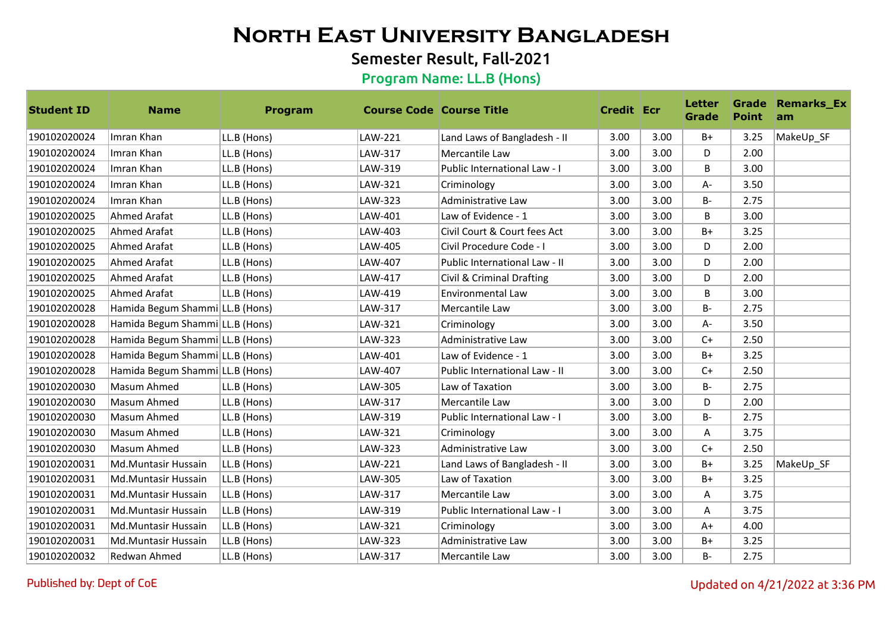## Semester Result, Fall-2021

#### Program Name: LL.B (Hons)

| <b>Student ID</b> | <b>Name</b>                     | Program     | <b>Course Code   Course Title</b> |                               | <b>Credit Ecr</b> |      | <b>Letter</b><br>Grade | <b>Point</b> | <b>Grade Remarks_Ex</b><br>am |
|-------------------|---------------------------------|-------------|-----------------------------------|-------------------------------|-------------------|------|------------------------|--------------|-------------------------------|
| 190102020024      | Imran Khan                      | LL.B (Hons) | LAW-221                           | Land Laws of Bangladesh - II  | 3.00              | 3.00 | $B+$                   | 3.25         | MakeUp_SF                     |
| 190102020024      | Imran Khan                      | LL.B (Hons) | LAW-317                           | Mercantile Law                | 3.00              | 3.00 | D                      | 2.00         |                               |
| 190102020024      | Imran Khan                      | LL.B (Hons) | LAW-319                           | Public International Law - I  | 3.00              | 3.00 | B                      | 3.00         |                               |
| 190102020024      | Imran Khan                      | LL.B (Hons) | LAW-321                           | Criminology                   | 3.00              | 3.00 | A-                     | 3.50         |                               |
| 190102020024      | Imran Khan                      | LL.B (Hons) | LAW-323                           | Administrative Law            | 3.00              | 3.00 | $B -$                  | 2.75         |                               |
| 190102020025      | Ahmed Arafat                    | LL.B (Hons) | LAW-401                           | Law of Evidence - 1           | 3.00              | 3.00 | B                      | 3.00         |                               |
| 190102020025      | Ahmed Arafat                    | LL.B (Hons) | LAW-403                           | Civil Court & Court fees Act  | 3.00              | 3.00 | $B+$                   | 3.25         |                               |
| 190102020025      | <b>Ahmed Arafat</b>             | LL.B (Hons) | LAW-405                           | Civil Procedure Code - I      | 3.00              | 3.00 | D                      | 2.00         |                               |
| 190102020025      | Ahmed Arafat                    | LL.B (Hons) | LAW-407                           | Public International Law - II | 3.00              | 3.00 | D                      | 2.00         |                               |
| 190102020025      | Ahmed Arafat                    | LL.B (Hons) | LAW-417                           | Civil & Criminal Drafting     | 3.00              | 3.00 | D                      | 2.00         |                               |
| 190102020025      | Ahmed Arafat                    | LL.B (Hons) | LAW-419                           | <b>Environmental Law</b>      | 3.00              | 3.00 | B                      | 3.00         |                               |
| 190102020028      | Hamida Begum Shammi LL.B (Hons) |             | LAW-317                           | Mercantile Law                | 3.00              | 3.00 | <b>B-</b>              | 2.75         |                               |
| 190102020028      | Hamida Begum Shammi LL.B (Hons) |             | LAW-321                           | Criminology                   | 3.00              | 3.00 | A-                     | 3.50         |                               |
| 190102020028      | Hamida Begum Shammi LL.B (Hons) |             | LAW-323                           | Administrative Law            | 3.00              | 3.00 | $C+$                   | 2.50         |                               |
| 190102020028      | Hamida Begum Shammi LL.B (Hons) |             | LAW-401                           | Law of Evidence - 1           | 3.00              | 3.00 | $B+$                   | 3.25         |                               |
| 190102020028      | Hamida Begum Shammi LL.B (Hons) |             | LAW-407                           | Public International Law - II | 3.00              | 3.00 | $C+$                   | 2.50         |                               |
| 190102020030      | Masum Ahmed                     | LL.B (Hons) | LAW-305                           | Law of Taxation               | 3.00              | 3.00 | $B -$                  | 2.75         |                               |
| 190102020030      | Masum Ahmed                     | LL.B (Hons) | LAW-317                           | Mercantile Law                | 3.00              | 3.00 | D                      | 2.00         |                               |
| 190102020030      | Masum Ahmed                     | LL.B (Hons) | LAW-319                           | Public International Law - I  | 3.00              | 3.00 | $B -$                  | 2.75         |                               |
| 190102020030      | Masum Ahmed                     | LL.B (Hons) | LAW-321                           | Criminology                   | 3.00              | 3.00 | Α                      | 3.75         |                               |
| 190102020030      | Masum Ahmed                     | LL.B (Hons) | LAW-323                           | Administrative Law            | 3.00              | 3.00 | $C+$                   | 2.50         |                               |
| 190102020031      | Md.Muntasir Hussain             | LL.B (Hons) | LAW-221                           | Land Laws of Bangladesh - II  | 3.00              | 3.00 | $B+$                   | 3.25         | MakeUp_SF                     |
| 190102020031      | Md.Muntasir Hussain             | LL.B (Hons) | LAW-305                           | Law of Taxation               | 3.00              | 3.00 | $B+$                   | 3.25         |                               |
| 190102020031      | Md.Muntasir Hussain             | LL.B (Hons) | LAW-317                           | Mercantile Law                | 3.00              | 3.00 | A                      | 3.75         |                               |
| 190102020031      | Md.Muntasir Hussain             | LL.B (Hons) | LAW-319                           | Public International Law - I  | 3.00              | 3.00 | A                      | 3.75         |                               |
| 190102020031      | Md.Muntasir Hussain             | LL.B (Hons) | LAW-321                           | Criminology                   | 3.00              | 3.00 | $A+$                   | 4.00         |                               |
| 190102020031      | Md.Muntasir Hussain             | LL.B (Hons) | LAW-323                           | Administrative Law            | 3.00              | 3.00 | $B+$                   | 3.25         |                               |
| 190102020032      | Redwan Ahmed                    | LL.B (Hons) | LAW-317                           | Mercantile Law                | 3.00              | 3.00 | <b>B-</b>              | 2.75         |                               |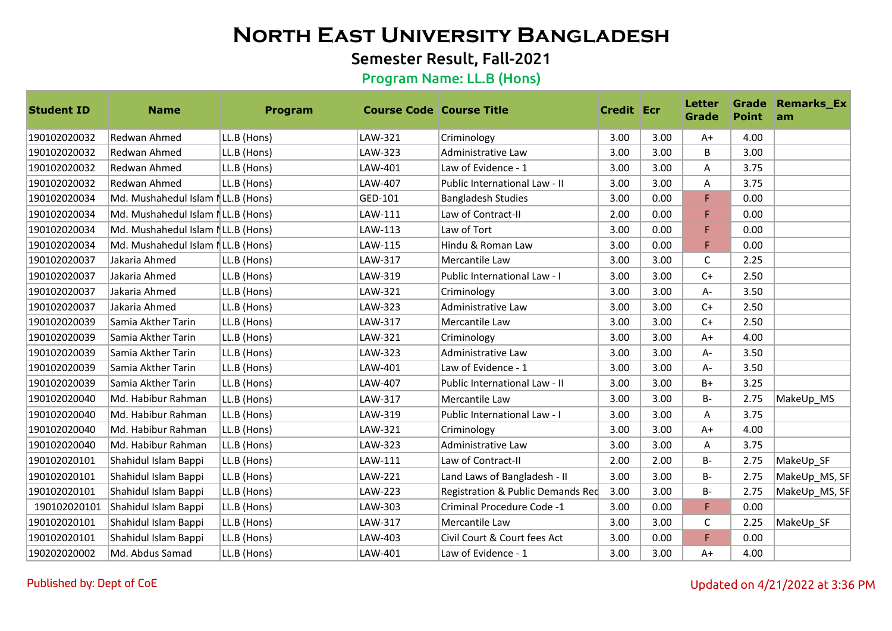## Semester Result, Fall-2021

| <b>Student ID</b> | <b>Name</b>                       | Program     | <b>Course Code Course Title</b> |                                   | <b>Credit Ecr</b> |      | <b>Letter</b><br><b>Grade</b> | <b>Point</b> | <b>Grade Remarks_Ex</b><br>am |
|-------------------|-----------------------------------|-------------|---------------------------------|-----------------------------------|-------------------|------|-------------------------------|--------------|-------------------------------|
| 190102020032      | Redwan Ahmed                      | LL.B (Hons) | LAW-321                         | Criminology                       | 3.00              | 3.00 | $A+$                          | 4.00         |                               |
| 190102020032      | Redwan Ahmed                      | LL.B (Hons) | LAW-323                         | Administrative Law                | 3.00              | 3.00 | B                             | 3.00         |                               |
| 190102020032      | Redwan Ahmed                      | LL.B (Hons) | LAW-401                         | Law of Evidence - 1               | 3.00              | 3.00 | A                             | 3.75         |                               |
| 190102020032      | Redwan Ahmed                      | LL.B (Hons) | LAW-407                         | Public International Law - II     | 3.00              | 3.00 | Α                             | 3.75         |                               |
| 190102020034      | Md. Mushahedul Islam NLL.B (Hons) |             | GED-101                         | <b>Bangladesh Studies</b>         | 3.00              | 0.00 | F                             | 0.00         |                               |
| 190102020034      | Md. Mushahedul Islam NLL.B (Hons) |             | LAW-111                         | Law of Contract-II                | 2.00              | 0.00 | F                             | 0.00         |                               |
| 190102020034      | Md. Mushahedul Islam NLL.B (Hons) |             | LAW-113                         | Law of Tort                       | 3.00              | 0.00 | F                             | 0.00         |                               |
| 190102020034      | Md. Mushahedul Islam NLL.B (Hons) |             | LAW-115                         | Hindu & Roman Law                 | 3.00              | 0.00 | F                             | 0.00         |                               |
| 190102020037      | Jakaria Ahmed                     | LL.B (Hons) | LAW-317                         | Mercantile Law                    | 3.00              | 3.00 | $\mathsf{C}$                  | 2.25         |                               |
| 190102020037      | Jakaria Ahmed                     | LL.B (Hons) | LAW-319                         | Public International Law - I      | 3.00              | 3.00 | $C+$                          | 2.50         |                               |
| 190102020037      | Jakaria Ahmed                     | LL.B (Hons) | LAW-321                         | Criminology                       | 3.00              | 3.00 | $A -$                         | 3.50         |                               |
| 190102020037      | Jakaria Ahmed                     | LL.B (Hons) | LAW-323                         | Administrative Law                | 3.00              | 3.00 | $C+$                          | 2.50         |                               |
| 190102020039      | Samia Akther Tarin                | LL.B (Hons) | LAW-317                         | Mercantile Law                    | 3.00              | 3.00 | $C+$                          | 2.50         |                               |
| 190102020039      | Samia Akther Tarin                | LL.B (Hons) | LAW-321                         | Criminology                       | 3.00              | 3.00 | $A+$                          | 4.00         |                               |
| 190102020039      | Samia Akther Tarin                | LL.B (Hons) | LAW-323                         | Administrative Law                | 3.00              | 3.00 | $A -$                         | 3.50         |                               |
| 190102020039      | Samia Akther Tarin                | LL.B (Hons) | LAW-401                         | Law of Evidence - 1               | 3.00              | 3.00 | A-                            | 3.50         |                               |
| 190102020039      | Samia Akther Tarin                | LL.B (Hons) | LAW-407                         | Public International Law - II     | 3.00              | 3.00 | $B+$                          | 3.25         |                               |
| 190102020040      | Md. Habibur Rahman                | LL.B (Hons) | LAW-317                         | Mercantile Law                    | 3.00              | 3.00 | $B -$                         | 2.75         | MakeUp_MS                     |
| 190102020040      | Md. Habibur Rahman                | LL.B (Hons) | LAW-319                         | Public International Law - I      | 3.00              | 3.00 | A                             | 3.75         |                               |
| 190102020040      | Md. Habibur Rahman                | LL.B (Hons) | LAW-321                         | Criminology                       | 3.00              | 3.00 | $A+$                          | 4.00         |                               |
| 190102020040      | Md. Habibur Rahman                | LL.B (Hons) | LAW-323                         | Administrative Law                | 3.00              | 3.00 | Α                             | 3.75         |                               |
| 190102020101      | Shahidul Islam Bappi              | LL.B (Hons) | LAW-111                         | Law of Contract-II                | 2.00              | 2.00 | $B -$                         | 2.75         | MakeUp_SF                     |
| 190102020101      | Shahidul Islam Bappi              | LL.B (Hons) | LAW-221                         | Land Laws of Bangladesh - II      | 3.00              | 3.00 | <b>B-</b>                     | 2.75         | MakeUp_MS, SF                 |
| 190102020101      | Shahidul Islam Bappi              | LL.B (Hons) | <b>LAW-223</b>                  | Registration & Public Demands Red | 3.00              | 3.00 | <b>B-</b>                     | 2.75         | MakeUp_MS, SF                 |
| 190102020101      | Shahidul Islam Bappi              | LL.B (Hons) | LAW-303                         | Criminal Procedure Code -1        | 3.00              | 0.00 | F                             | 0.00         |                               |
| 190102020101      | Shahidul Islam Bappi              | LL.B (Hons) | LAW-317                         | Mercantile Law                    | 3.00              | 3.00 | C                             | 2.25         | MakeUp SF                     |
| 190102020101      | Shahidul Islam Bappi              | LL.B (Hons) | LAW-403                         | Civil Court & Court fees Act      | 3.00              | 0.00 | F                             | 0.00         |                               |
| 190202020002      | Md. Abdus Samad                   | LL.B (Hons) | LAW-401                         | Law of Evidence - 1               | 3.00              | 3.00 | $A+$                          | 4.00         |                               |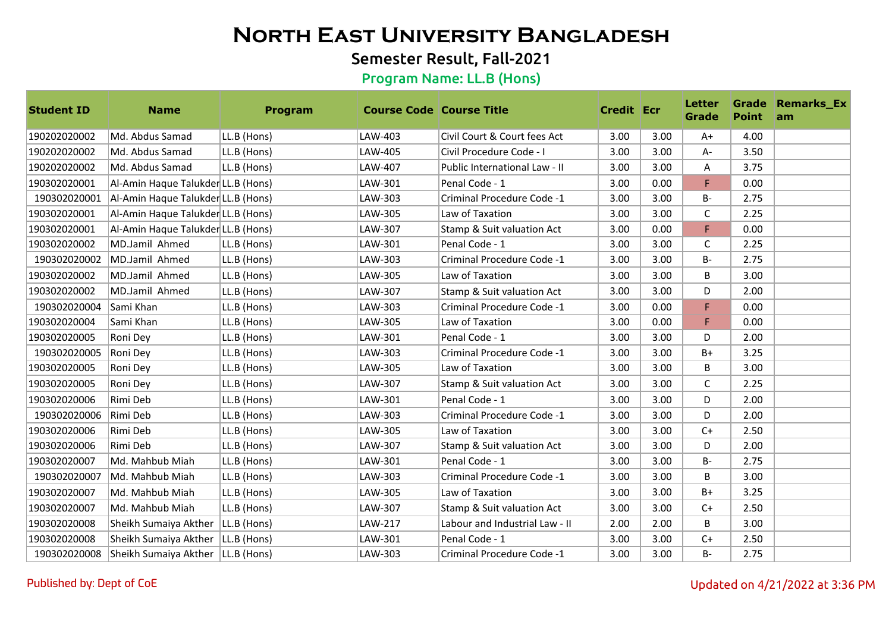## Semester Result, Fall-2021

| <b>Student ID</b> | <b>Name</b>                         | Program     | <b>Course Code Course Title</b> |                                | <b>Credit Ecr</b> |      | <b>Letter</b><br><b>Grade</b> | <b>Point</b> | <b>Grade Remarks_Ex</b><br><b>am</b> |
|-------------------|-------------------------------------|-------------|---------------------------------|--------------------------------|-------------------|------|-------------------------------|--------------|--------------------------------------|
| 190202020002      | Md. Abdus Samad                     | LL.B (Hons) | LAW-403                         | Civil Court & Court fees Act   | 3.00              | 3.00 | $A+$                          | 4.00         |                                      |
| 190202020002      | Md. Abdus Samad                     | LL.B (Hons) | LAW-405                         | Civil Procedure Code - I       | 3.00              | 3.00 | A-                            | 3.50         |                                      |
| 190202020002      | Md. Abdus Samad                     | LL.B (Hons) | LAW-407                         | Public International Law - II  | 3.00              | 3.00 | Α                             | 3.75         |                                      |
| 190302020001      | Al-Amin Haque Talukder LL.B (Hons)  |             | LAW-301                         | Penal Code - 1                 | 3.00              | 0.00 | F                             | 0.00         |                                      |
| 190302020001      | Al-Amin Haque Talukder LL.B (Hons)  |             | LAW-303                         | Criminal Procedure Code -1     | 3.00              | 3.00 | B-                            | 2.75         |                                      |
| 190302020001      | Al-Amin Haque Talukder LL.B (Hons)  |             | LAW-305                         | Law of Taxation                | 3.00              | 3.00 | C                             | 2.25         |                                      |
| 190302020001      | Al-Amin Haque Talukder LL.B (Hons)  |             | LAW-307                         | Stamp & Suit valuation Act     | 3.00              | 0.00 | F                             | 0.00         |                                      |
| 190302020002      | MD.Jamil Ahmed                      | LL.B (Hons) | LAW-301                         | Penal Code - 1                 | 3.00              | 3.00 | $\mathsf C$                   | 2.25         |                                      |
| 190302020002      | MD.Jamil Ahmed                      | LL.B (Hons) | LAW-303                         | Criminal Procedure Code -1     | 3.00              | 3.00 | <b>B-</b>                     | 2.75         |                                      |
| 190302020002      | MD.Jamil Ahmed                      | LL.B (Hons) | LAW-305                         | Law of Taxation                | 3.00              | 3.00 | B                             | 3.00         |                                      |
| 190302020002      | MD.Jamil Ahmed                      | LL.B (Hons) | LAW-307                         | Stamp & Suit valuation Act     | 3.00              | 3.00 | D                             | 2.00         |                                      |
| 190302020004      | lSami Khan                          | LL.B (Hons) | LAW-303                         | Criminal Procedure Code -1     | 3.00              | 0.00 | F                             | 0.00         |                                      |
| 190302020004      | Sami Khan                           | LL.B (Hons) | LAW-305                         | Law of Taxation                | 3.00              | 0.00 | F                             | 0.00         |                                      |
| 190302020005      | Roni Dey                            | LL.B (Hons) | LAW-301                         | Penal Code - 1                 | 3.00              | 3.00 | D                             | 2.00         |                                      |
| 190302020005      | Roni Dey                            | LL.B (Hons) | LAW-303                         | Criminal Procedure Code -1     | 3.00              | 3.00 | $B+$                          | 3.25         |                                      |
| 190302020005      | Roni Dey                            | LL.B (Hons) | LAW-305                         | Law of Taxation                | 3.00              | 3.00 | B                             | 3.00         |                                      |
| 190302020005      | Roni Dey                            | LL.B (Hons) | LAW-307                         | Stamp & Suit valuation Act     | 3.00              | 3.00 | C                             | 2.25         |                                      |
| 190302020006      | Rimi Deb                            | LL.B (Hons) | LAW-301                         | Penal Code - 1                 | 3.00              | 3.00 | D                             | 2.00         |                                      |
| 190302020006      | Rimi Deb                            | LL.B (Hons) | LAW-303                         | Criminal Procedure Code -1     | 3.00              | 3.00 | D                             | 2.00         |                                      |
| 190302020006      | Rimi Deb                            | LL.B (Hons) | LAW-305                         | Law of Taxation                | 3.00              | 3.00 | $C+$                          | 2.50         |                                      |
| 190302020006      | Rimi Deb                            | LL.B (Hons) | LAW-307                         | Stamp & Suit valuation Act     | 3.00              | 3.00 | D                             | 2.00         |                                      |
| 190302020007      | Md. Mahbub Miah                     | LL.B (Hons) | LAW-301                         | Penal Code - 1                 | 3.00              | 3.00 | <b>B-</b>                     | 2.75         |                                      |
| 190302020007      | Md. Mahbub Miah                     | LL.B (Hons) | LAW-303                         | Criminal Procedure Code -1     | 3.00              | 3.00 | B                             | 3.00         |                                      |
| 190302020007      | Md. Mahbub Miah                     | LL.B (Hons) | LAW-305                         | Law of Taxation                | 3.00              | 3.00 | $B+$                          | 3.25         |                                      |
| 190302020007      | Md. Mahbub Miah                     | LL.B (Hons) | LAW-307                         | Stamp & Suit valuation Act     | 3.00              | 3.00 | $C+$                          | 2.50         |                                      |
| 190302020008      | Sheikh Sumaiya Akther               | LL.B (Hons) | LAW-217                         | Labour and Industrial Law - II | 2.00              | 2.00 | B                             | 3.00         |                                      |
| 190302020008      | Sheikh Sumaiya Akther   LL.B (Hons) |             | LAW-301                         | Penal Code - 1                 | 3.00              | 3.00 | $C+$                          | 2.50         |                                      |
| 190302020008      | Sheikh Sumaiya Akther   LL.B (Hons) |             | LAW-303                         | Criminal Procedure Code -1     | 3.00              | 3.00 | B-                            | 2.75         |                                      |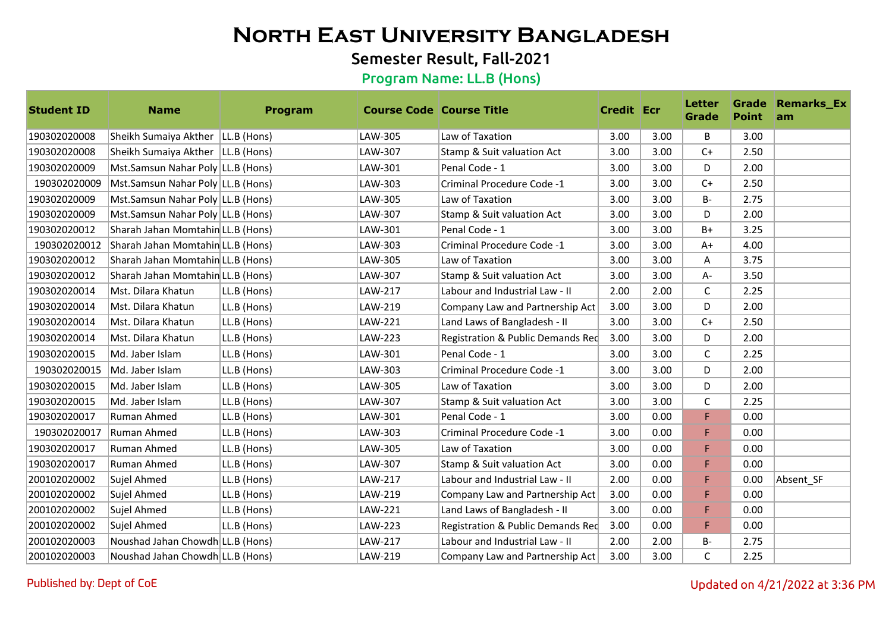## Semester Result, Fall-2021

| <b>Student ID</b> | <b>Name</b>                         | Program     | <b>Course Code Course Title</b> |                                   | <b>Credit Ecr</b> |      | <b>Letter</b><br><b>Grade</b> | <b>Point</b> | <b>Grade Remarks_Ex</b><br>am |
|-------------------|-------------------------------------|-------------|---------------------------------|-----------------------------------|-------------------|------|-------------------------------|--------------|-------------------------------|
| 190302020008      | Sheikh Sumaiya Akther   LL.B (Hons) |             | LAW-305                         | Law of Taxation                   | 3.00              | 3.00 | B                             | 3.00         |                               |
| 190302020008      | Sheikh Sumaiya Akther   LL.B (Hons) |             | LAW-307                         | Stamp & Suit valuation Act        | 3.00              | 3.00 | $C+$                          | 2.50         |                               |
| 190302020009      | Mst.Samsun Nahar Poly LL.B (Hons)   |             | LAW-301                         | Penal Code - 1                    | 3.00              | 3.00 | D                             | 2.00         |                               |
| 190302020009      | Mst.Samsun Nahar Poly LL.B (Hons)   |             | LAW-303                         | Criminal Procedure Code -1        | 3.00              | 3.00 | $C+$                          | 2.50         |                               |
| 190302020009      | Mst.Samsun Nahar Poly LL.B (Hons)   |             | LAW-305                         | Law of Taxation                   | 3.00              | 3.00 | $B -$                         | 2.75         |                               |
| 190302020009      | Mst.Samsun Nahar Poly LL.B (Hons)   |             | LAW-307                         | Stamp & Suit valuation Act        | 3.00              | 3.00 | D                             | 2.00         |                               |
| 190302020012      | Sharah Jahan Momtahin LL.B (Hons)   |             | LAW-301                         | Penal Code - 1                    | 3.00              | 3.00 | $B+$                          | 3.25         |                               |
| 190302020012      | Sharah Jahan Momtahin LL.B (Hons)   |             | LAW-303                         | Criminal Procedure Code -1        | 3.00              | 3.00 | $A+$                          | 4.00         |                               |
| 190302020012      | Sharah Jahan Momtahin LL.B (Hons)   |             | LAW-305                         | Law of Taxation                   | 3.00              | 3.00 | Α                             | 3.75         |                               |
| 190302020012      | Sharah Jahan Momtahin LL.B (Hons)   |             | LAW-307                         | Stamp & Suit valuation Act        | 3.00              | 3.00 | A-                            | 3.50         |                               |
| 190302020014      | Mst. Dilara Khatun                  | LL.B (Hons) | LAW-217                         | Labour and Industrial Law - II    | 2.00              | 2.00 | C                             | 2.25         |                               |
| 190302020014      | Mst. Dilara Khatun                  | LL.B (Hons) | LAW-219                         | Company Law and Partnership Act   | 3.00              | 3.00 | D                             | 2.00         |                               |
| 190302020014      | Mst. Dilara Khatun                  | LL.B (Hons) | LAW-221                         | Land Laws of Bangladesh - II      | 3.00              | 3.00 | $C+$                          | 2.50         |                               |
| 190302020014      | Mst. Dilara Khatun                  | LL.B (Hons) | LAW-223                         | Registration & Public Demands Red | 3.00              | 3.00 | D                             | 2.00         |                               |
| 190302020015      | Md. Jaber Islam                     | LL.B (Hons) | LAW-301                         | Penal Code - 1                    | 3.00              | 3.00 | C                             | 2.25         |                               |
| 190302020015      | Md. Jaber Islam                     | LL.B (Hons) | LAW-303                         | Criminal Procedure Code -1        | 3.00              | 3.00 | D                             | 2.00         |                               |
| 190302020015      | Md. Jaber Islam                     | LL.B (Hons) | LAW-305                         | Law of Taxation                   | 3.00              | 3.00 | D                             | 2.00         |                               |
| 190302020015      | Md. Jaber Islam                     | LL.B (Hons) | LAW-307                         | Stamp & Suit valuation Act        | 3.00              | 3.00 | $\mathsf C$                   | 2.25         |                               |
| 190302020017      | <b>Ruman Ahmed</b>                  | LL.B (Hons) | LAW-301                         | Penal Code - 1                    | 3.00              | 0.00 | F                             | 0.00         |                               |
| 190302020017      | Ruman Ahmed                         | LL.B (Hons) | LAW-303                         | Criminal Procedure Code -1        | 3.00              | 0.00 | F                             | 0.00         |                               |
| 190302020017      | Ruman Ahmed                         | LL.B (Hons) | LAW-305                         | Law of Taxation                   | 3.00              | 0.00 | F                             | 0.00         |                               |
| 190302020017      | Ruman Ahmed                         | LL.B (Hons) | LAW-307                         | Stamp & Suit valuation Act        | 3.00              | 0.00 | F                             | 0.00         |                               |
| 200102020002      | Sujel Ahmed                         | LL.B (Hons) | LAW-217                         | Labour and Industrial Law - II    | 2.00              | 0.00 | F                             | 0.00         | Absent SF                     |
| 200102020002      | Sujel Ahmed                         | LL.B (Hons) | LAW-219                         | Company Law and Partnership Act   | 3.00              | 0.00 | F                             | 0.00         |                               |
| 200102020002      | Sujel Ahmed                         | LL.B (Hons) | LAW-221                         | Land Laws of Bangladesh - II      | 3.00              | 0.00 | F                             | 0.00         |                               |
| 200102020002      | Sujel Ahmed                         | LL.B (Hons) | LAW-223                         | Registration & Public Demands Red | 3.00              | 0.00 | F                             | 0.00         |                               |
| 200102020003      | Noushad Jahan Chowdh LL.B (Hons)    |             | LAW-217                         | Labour and Industrial Law - II    | 2.00              | 2.00 | <b>B-</b>                     | 2.75         |                               |
| 200102020003      | Noushad Jahan Chowdh LL.B (Hons)    |             | LAW-219                         | Company Law and Partnership Act   | 3.00              | 3.00 | $\mathsf{C}$                  | 2.25         |                               |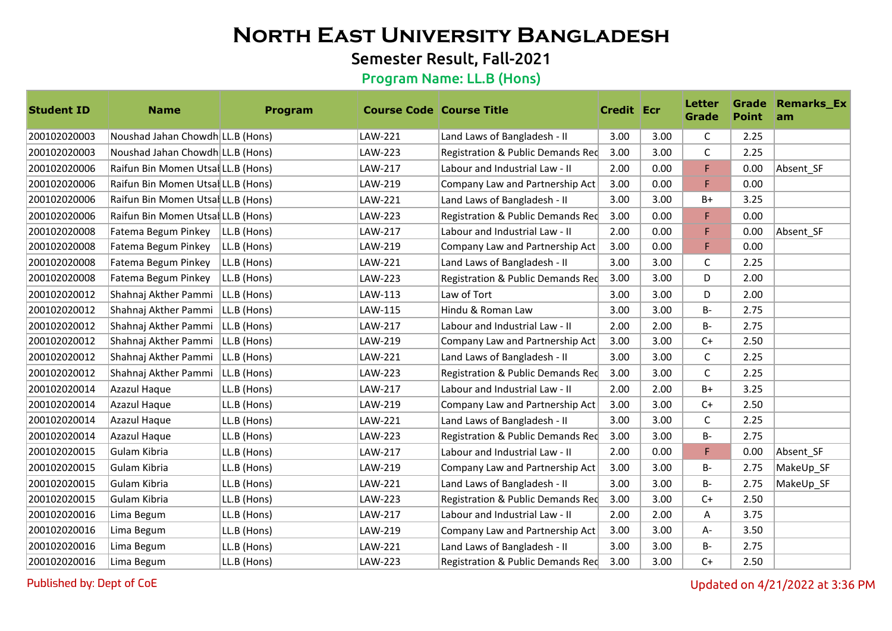## Semester Result, Fall-2021

#### Program Name: LL.B (Hons)

| <b>Student ID</b> | <b>Name</b>                        | Program     | <b>Course Code Course Title</b> |                                   | <b>Credit Ecr</b> |      | <b>Letter</b><br><b>Grade</b> | <b>Point</b> | <b>Grade Remarks_Ex</b><br>am |
|-------------------|------------------------------------|-------------|---------------------------------|-----------------------------------|-------------------|------|-------------------------------|--------------|-------------------------------|
| 200102020003      | Noushad Jahan Chowdh LL.B (Hons)   |             | LAW-221                         | Land Laws of Bangladesh - II      | 3.00              | 3.00 | C                             | 2.25         |                               |
| 200102020003      | Noushad Jahan Chowdh LL.B (Hons)   |             | LAW-223                         | Registration & Public Demands Red | 3.00              | 3.00 | C                             | 2.25         |                               |
| 200102020006      | Raifun Bin Momen UtsalLL.B (Hons)  |             | LAW-217                         | Labour and Industrial Law - II    | 2.00              | 0.00 | F                             | 0.00         | Absent SF                     |
| 200102020006      | Raifun Bin Momen UtsalLL.B (Hons)  |             | LAW-219                         | Company Law and Partnership Act   | 3.00              | 0.00 | F                             | 0.00         |                               |
| 200102020006      | Raifun Bin Momen UtsalLL.B (Hons)  |             | LAW-221                         | Land Laws of Bangladesh - II      | 3.00              | 3.00 | B+                            | 3.25         |                               |
| 200102020006      | Raifun Bin Momen Utsal LL.B (Hons) |             | LAW-223                         | Registration & Public Demands Red | 3.00              | 0.00 | F                             | 0.00         |                               |
| 200102020008      | Fatema Begum Pinkey                | LL.B (Hons) | LAW-217                         | Labour and Industrial Law - II    | 2.00              | 0.00 | F.                            | 0.00         | Absent SF                     |
| 200102020008      | Fatema Begum Pinkey                | LL.B (Hons) | LAW-219                         | Company Law and Partnership Act   | 3.00              | 0.00 | F                             | 0.00         |                               |
| 200102020008      | Fatema Begum Pinkey                | LL.B (Hons) | LAW-221                         | Land Laws of Bangladesh - II      | 3.00              | 3.00 | C                             | 2.25         |                               |
| 200102020008      | Fatema Begum Pinkey                | LL.B (Hons) | LAW-223                         | Registration & Public Demands Red | 3.00              | 3.00 | D                             | 2.00         |                               |
| 200102020012      | Shahnaj Akther Pammi               | LL.B (Hons) | LAW-113                         | Law of Tort                       | 3.00              | 3.00 | D                             | 2.00         |                               |
| 200102020012      | Shahnaj Akther Pammi               | LL.B (Hons) | LAW-115                         | Hindu & Roman Law                 | 3.00              | 3.00 | <b>B-</b>                     | 2.75         |                               |
| 200102020012      | Shahnaj Akther Pammi               | LL.B (Hons) | LAW-217                         | Labour and Industrial Law - II    | 2.00              | 2.00 | <b>B-</b>                     | 2.75         |                               |
| 200102020012      | Shahnaj Akther Pammi               | LL.B (Hons) | LAW-219                         | Company Law and Partnership Act   | 3.00              | 3.00 | $C+$                          | 2.50         |                               |
| 200102020012      | Shahnaj Akther Pammi               | LL.B (Hons) | LAW-221                         | Land Laws of Bangladesh - II      | 3.00              | 3.00 | C                             | 2.25         |                               |
| 200102020012      | Shahnaj Akther Pammi               | LL.B (Hons) | LAW-223                         | Registration & Public Demands Red | 3.00              | 3.00 | $\mathsf{C}$                  | 2.25         |                               |
| 200102020014      | Azazul Haque                       | LL.B (Hons) | LAW-217                         | Labour and Industrial Law - II    | 2.00              | 2.00 | B+                            | 3.25         |                               |
| 200102020014      | Azazul Haque                       | LL.B (Hons) | LAW-219                         | Company Law and Partnership Act   | 3.00              | 3.00 | $C+$                          | 2.50         |                               |
| 200102020014      | Azazul Haque                       | LL.B (Hons) | LAW-221                         | Land Laws of Bangladesh - II      | 3.00              | 3.00 | C                             | 2.25         |                               |
| 200102020014      | Azazul Haque                       | LL.B (Hons) | LAW-223                         | Registration & Public Demands Red | 3.00              | 3.00 | $B -$                         | 2.75         |                               |
| 200102020015      | Gulam Kibria                       | LL.B (Hons) | LAW-217                         | Labour and Industrial Law - II    | 2.00              | 0.00 | F                             | 0.00         | Absent SF                     |
| 200102020015      | Gulam Kibria                       | LL.B (Hons) | LAW-219                         | Company Law and Partnership Act   | 3.00              | 3.00 | $B -$                         | 2.75         | MakeUp SF                     |
| 200102020015      | Gulam Kibria                       | LL.B (Hons) | LAW-221                         | Land Laws of Bangladesh - II      | 3.00              | 3.00 | $B -$                         | 2.75         | MakeUp SF                     |
| 200102020015      | Gulam Kibria                       | LL.B (Hons) | LAW-223                         | Registration & Public Demands Red | 3.00              | 3.00 | $C+$                          | 2.50         |                               |
| 200102020016      | Lima Begum                         | LL.B (Hons) | LAW-217                         | Labour and Industrial Law - II    | 2.00              | 2.00 | Α                             | 3.75         |                               |
| 200102020016      | Lima Begum                         | LL.B (Hons) | LAW-219                         | Company Law and Partnership Act   | 3.00              | 3.00 | $A -$                         | 3.50         |                               |
| 200102020016      | Lima Begum                         | LL.B (Hons) | LAW-221                         | Land Laws of Bangladesh - II      | 3.00              | 3.00 | <b>B-</b>                     | 2.75         |                               |
| 200102020016      | Lima Begum                         | LL.B (Hons) | LAW-223                         | Registration & Public Demands Red | 3.00              | 3.00 | $C+$                          | 2.50         |                               |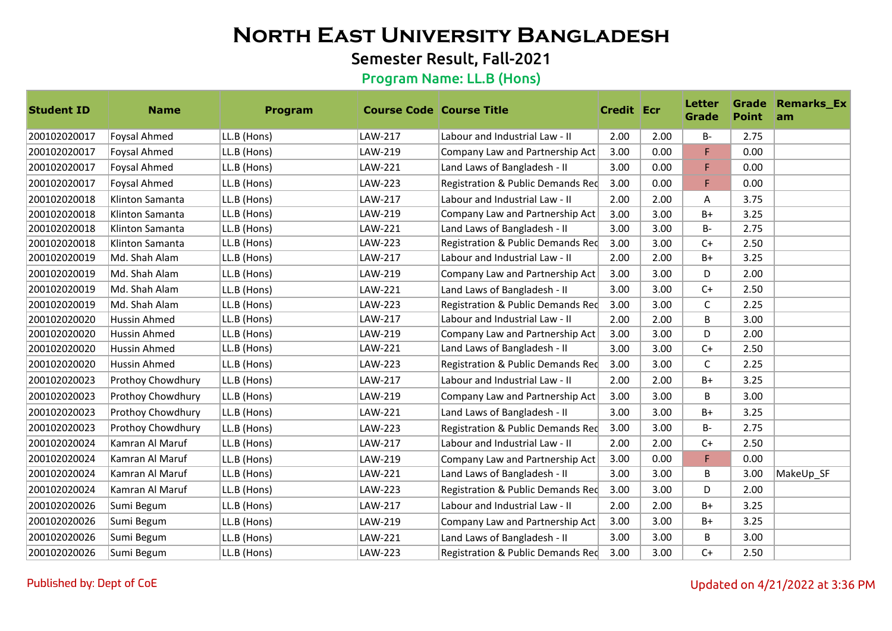## Semester Result, Fall-2021

| <b>Student ID</b> | <b>Name</b>              | Program     | <b>Course Code Course Title</b> |                                   | <b>Credit Ecr</b> |      | <b>Letter</b><br>Grade | <b>Point</b> | <b>Grade Remarks_Ex</b><br>am |
|-------------------|--------------------------|-------------|---------------------------------|-----------------------------------|-------------------|------|------------------------|--------------|-------------------------------|
| 200102020017      | <b>Foysal Ahmed</b>      | LL.B (Hons) | LAW-217                         | Labour and Industrial Law - II    | 2.00              | 2.00 | <b>B-</b>              | 2.75         |                               |
| 200102020017      | <b>Foysal Ahmed</b>      | LL.B (Hons) | LAW-219                         | Company Law and Partnership Act   | 3.00              | 0.00 | F                      | 0.00         |                               |
| 200102020017      | <b>Foysal Ahmed</b>      | LL.B (Hons) | LAW-221                         | Land Laws of Bangladesh - II      | 3.00              | 0.00 | F                      | 0.00         |                               |
| 200102020017      | <b>Foysal Ahmed</b>      | LL.B (Hons) | LAW-223                         | Registration & Public Demands Red | 3.00              | 0.00 | F                      | 0.00         |                               |
| 200102020018      | Klinton Samanta          | LL.B (Hons) | LAW-217                         | Labour and Industrial Law - II    | 2.00              | 2.00 | A                      | 3.75         |                               |
| 200102020018      | Klinton Samanta          | LL.B (Hons) | LAW-219                         | Company Law and Partnership Act   | 3.00              | 3.00 | $B+$                   | 3.25         |                               |
| 200102020018      | Klinton Samanta          | LL.B (Hons) | LAW-221                         | Land Laws of Bangladesh - II      | 3.00              | 3.00 | <b>B-</b>              | 2.75         |                               |
| 200102020018      | Klinton Samanta          | LL.B (Hons) | LAW-223                         | Registration & Public Demands Red | 3.00              | 3.00 | $C+$                   | 2.50         |                               |
| 200102020019      | Md. Shah Alam            | LL.B (Hons) | LAW-217                         | Labour and Industrial Law - II    | 2.00              | 2.00 | B+                     | 3.25         |                               |
| 200102020019      | Md. Shah Alam            | LL.B (Hons) | LAW-219                         | Company Law and Partnership Act   | 3.00              | 3.00 | D                      | 2.00         |                               |
| 200102020019      | Md. Shah Alam            | LL.B (Hons) | LAW-221                         | Land Laws of Bangladesh - II      | 3.00              | 3.00 | $C+$                   | 2.50         |                               |
| 200102020019      | Md. Shah Alam            | LL.B (Hons) | LAW-223                         | Registration & Public Demands Red | 3.00              | 3.00 | C                      | 2.25         |                               |
| 200102020020      | Hussin Ahmed             | LL.B (Hons) | LAW-217                         | Labour and Industrial Law - II    | 2.00              | 2.00 | B                      | 3.00         |                               |
| 200102020020      | <b>Hussin Ahmed</b>      | LL.B (Hons) | LAW-219                         | Company Law and Partnership Act   | 3.00              | 3.00 | D                      | 2.00         |                               |
| 200102020020      | Hussin Ahmed             | LL.B (Hons) | LAW-221                         | Land Laws of Bangladesh - II      | 3.00              | 3.00 | $C+$                   | 2.50         |                               |
| 200102020020      | <b>Hussin Ahmed</b>      | LL.B (Hons) | LAW-223                         | Registration & Public Demands Red | 3.00              | 3.00 | C                      | 2.25         |                               |
| 200102020023      | Prothoy Chowdhury        | LL.B (Hons) | LAW-217                         | Labour and Industrial Law - II    | 2.00              | 2.00 | $B+$                   | 3.25         |                               |
| 200102020023      | <b>Prothoy Chowdhury</b> | LL.B (Hons) | LAW-219                         | Company Law and Partnership Act   | 3.00              | 3.00 | B                      | 3.00         |                               |
| 200102020023      | <b>Prothoy Chowdhury</b> | LL.B (Hons) | LAW-221                         | Land Laws of Bangladesh - II      | 3.00              | 3.00 | $B+$                   | 3.25         |                               |
| 200102020023      | <b>Prothoy Chowdhury</b> | LL.B (Hons) | LAW-223                         | Registration & Public Demands Red | 3.00              | 3.00 | $B -$                  | 2.75         |                               |
| 200102020024      | Kamran Al Maruf          | LL.B (Hons) | LAW-217                         | Labour and Industrial Law - II    | 2.00              | 2.00 | $C+$                   | 2.50         |                               |
| 200102020024      | Kamran Al Maruf          | LL.B (Hons) | LAW-219                         | Company Law and Partnership Act   | 3.00              | 0.00 | F                      | 0.00         |                               |
| 200102020024      | Kamran Al Maruf          | LL.B (Hons) | LAW-221                         | Land Laws of Bangladesh - II      | 3.00              | 3.00 | B                      | 3.00         | MakeUp_SF                     |
| 200102020024      | Kamran Al Maruf          | LL.B (Hons) | LAW-223                         | Registration & Public Demands Red | 3.00              | 3.00 | D                      | 2.00         |                               |
| 200102020026      | Sumi Begum               | LL.B (Hons) | LAW-217                         | Labour and Industrial Law - II    | 2.00              | 2.00 | B+                     | 3.25         |                               |
| 200102020026      | Sumi Begum               | LL.B (Hons) | LAW-219                         | Company Law and Partnership Act   | 3.00              | 3.00 | $B+$                   | 3.25         |                               |
| 200102020026      | Sumi Begum               | LL.B (Hons) | LAW-221                         | Land Laws of Bangladesh - II      | 3.00              | 3.00 | B                      | 3.00         |                               |
| 200102020026      | Sumi Begum               | LL.B (Hons) | LAW-223                         | Registration & Public Demands Red | 3.00              | 3.00 | $C+$                   | 2.50         |                               |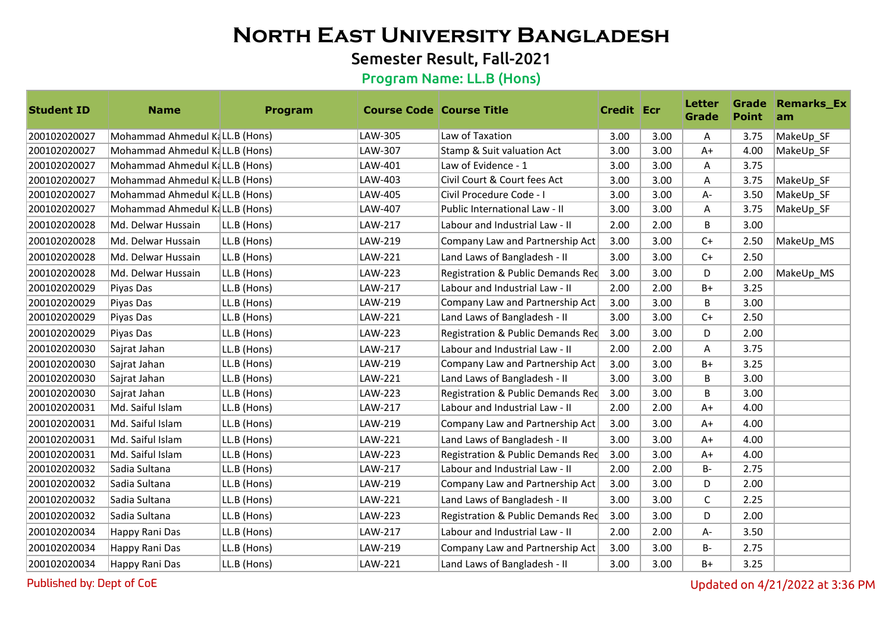## Semester Result, Fall-2021

#### Program Name: LL.B (Hons)

| <b>Student ID</b> | <b>Name</b>                    | <b>Program</b> | <b>Course Code Course Title</b> |                                   | <b>Credit Ecr</b> |      | <b>Letter</b><br>Grade | <b>Point</b> | <b>Grade Remarks_Ex</b><br>am |
|-------------------|--------------------------------|----------------|---------------------------------|-----------------------------------|-------------------|------|------------------------|--------------|-------------------------------|
| 200102020027      | Mohammad Ahmedul KaLL.B (Hons) |                | LAW-305                         | Law of Taxation                   | 3.00              | 3.00 | Α                      | 3.75         | MakeUp_SF                     |
| 200102020027      | Mohammad Ahmedul KaLL.B (Hons) |                | LAW-307                         | Stamp & Suit valuation Act        | 3.00              | 3.00 | $A+$                   | 4.00         | MakeUp_SF                     |
| 200102020027      | Mohammad Ahmedul KaLL.B (Hons) |                | LAW-401                         | Law of Evidence - 1               | 3.00              | 3.00 | Α                      | 3.75         |                               |
| 200102020027      | Mohammad Ahmedul KaLL.B (Hons) |                | LAW-403                         | Civil Court & Court fees Act      | 3.00              | 3.00 | Α                      | 3.75         | MakeUp_SF                     |
| 200102020027      | Mohammad Ahmedul KaLL.B (Hons) |                | LAW-405                         | Civil Procedure Code - I          | 3.00              | 3.00 | A-                     | 3.50         | MakeUp_SF                     |
| 200102020027      | Mohammad Ahmedul KaLL.B (Hons) |                | LAW-407                         | Public International Law - II     | 3.00              | 3.00 | Α                      | 3.75         | MakeUp SF                     |
| 200102020028      | Md. Delwar Hussain             | LL.B (Hons)    | LAW-217                         | Labour and Industrial Law - II    | 2.00              | 2.00 | B                      | 3.00         |                               |
| 200102020028      | Md. Delwar Hussain             | LL.B (Hons)    | LAW-219                         | Company Law and Partnership Act   | 3.00              | 3.00 | $C+$                   | 2.50         | MakeUp_MS                     |
| 200102020028      | Md. Delwar Hussain             | LL.B (Hons)    | LAW-221                         | Land Laws of Bangladesh - II      | 3.00              | 3.00 | $C+$                   | 2.50         |                               |
| 200102020028      | Md. Delwar Hussain             | LL.B (Hons)    | LAW-223                         | Registration & Public Demands Red | 3.00              | 3.00 | D                      | 2.00         | MakeUp_MS                     |
| 200102020029      | Piyas Das                      | LL.B (Hons)    | LAW-217                         | Labour and Industrial Law - II    | 2.00              | 2.00 | $B+$                   | 3.25         |                               |
| 200102020029      | Piyas Das                      | LL.B (Hons)    | LAW-219                         | Company Law and Partnership Act   | 3.00              | 3.00 | B                      | 3.00         |                               |
| 200102020029      | Piyas Das                      | LL.B (Hons)    | LAW-221                         | Land Laws of Bangladesh - II      | 3.00              | 3.00 | $C+$                   | 2.50         |                               |
| 200102020029      | Piyas Das                      | LL.B (Hons)    | LAW-223                         | Registration & Public Demands Red | 3.00              | 3.00 | D                      | 2.00         |                               |
| 200102020030      | Sajrat Jahan                   | LL.B (Hons)    | LAW-217                         | Labour and Industrial Law - II    | 2.00              | 2.00 | Α                      | 3.75         |                               |
| 200102020030      | Sajrat Jahan                   | LL.B (Hons)    | LAW-219                         | Company Law and Partnership Act   | 3.00              | 3.00 | B+                     | 3.25         |                               |
| 200102020030      | Sajrat Jahan                   | LL.B (Hons)    | LAW-221                         | Land Laws of Bangladesh - II      | 3.00              | 3.00 | B                      | 3.00         |                               |
| 200102020030      | Sajrat Jahan                   | LL.B (Hons)    | LAW-223                         | Registration & Public Demands Red | 3.00              | 3.00 | B                      | 3.00         |                               |
| 200102020031      | Md. Saiful Islam               | LL.B (Hons)    | LAW-217                         | Labour and Industrial Law - II    | 2.00              | 2.00 | $A+$                   | 4.00         |                               |
| 200102020031      | Md. Saiful Islam               | LL.B (Hons)    | LAW-219                         | Company Law and Partnership Act   | 3.00              | 3.00 | $A+$                   | 4.00         |                               |
| 200102020031      | Md. Saiful Islam               | LL.B (Hons)    | LAW-221                         | Land Laws of Bangladesh - II      | 3.00              | 3.00 | $A+$                   | 4.00         |                               |
| 200102020031      | Md. Saiful Islam               | LL.B (Hons)    | LAW-223                         | Registration & Public Demands Red | 3.00              | 3.00 | $A+$                   | 4.00         |                               |
| 200102020032      | Sadia Sultana                  | LL.B (Hons)    | LAW-217                         | Labour and Industrial Law - II    | 2.00              | 2.00 | <b>B-</b>              | 2.75         |                               |
| 200102020032      | Sadia Sultana                  | LL.B (Hons)    | LAW-219                         | Company Law and Partnership Act   | 3.00              | 3.00 | D                      | 2.00         |                               |
| 200102020032      | Sadia Sultana                  | LL.B (Hons)    | LAW-221                         | Land Laws of Bangladesh - II      | 3.00              | 3.00 | C                      | 2.25         |                               |
| 200102020032      | Sadia Sultana                  | LL.B (Hons)    | LAW-223                         | Registration & Public Demands Red | 3.00              | 3.00 | D                      | 2.00         |                               |
| 200102020034      | Happy Rani Das                 | LL.B (Hons)    | LAW-217                         | Labour and Industrial Law - II    | 2.00              | 2.00 | A-                     | 3.50         |                               |
| 200102020034      | Happy Rani Das                 | LL.B (Hons)    | LAW-219                         | Company Law and Partnership Act   | 3.00              | 3.00 | <b>B-</b>              | 2.75         |                               |
| 200102020034      | Happy Rani Das                 | LL.B (Hons)    | LAW-221                         | Land Laws of Bangladesh - II      | 3.00              | 3.00 | $B+$                   | 3.25         |                               |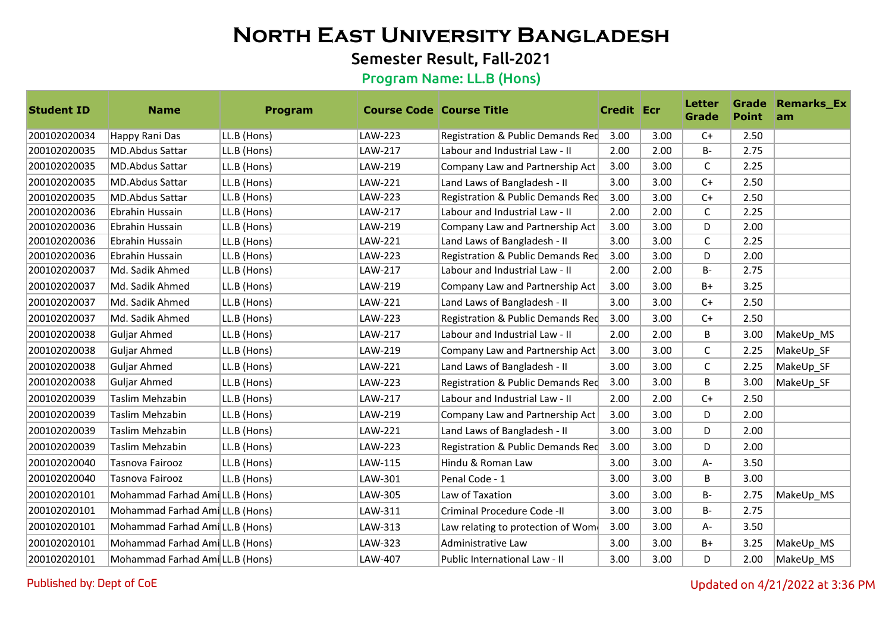## Semester Result, Fall-2021

#### Program Name: LL.B (Hons)

| <b>Student ID</b> | <b>Name</b>                     | Program     | <b>Course Code Course Title</b> |                                   | <b>Credit Ecr</b> |      | <b>Letter</b><br>Grade | <b>Point</b> | <b>Grade Remarks_Ex</b><br>am |
|-------------------|---------------------------------|-------------|---------------------------------|-----------------------------------|-------------------|------|------------------------|--------------|-------------------------------|
| 200102020034      | Happy Rani Das                  | LL.B (Hons) | LAW-223                         | Registration & Public Demands Red | 3.00              | 3.00 | $C+$                   | 2.50         |                               |
| 200102020035      | MD.Abdus Sattar                 | LL.B (Hons) | LAW-217                         | Labour and Industrial Law - II    | 2.00              | 2.00 | $B -$                  | 2.75         |                               |
| 200102020035      | MD.Abdus Sattar                 | LL.B (Hons) | LAW-219                         | Company Law and Partnership Act   | 3.00              | 3.00 | C                      | 2.25         |                               |
| 200102020035      | MD.Abdus Sattar                 | LL.B (Hons) | LAW-221                         | Land Laws of Bangladesh - II      | 3.00              | 3.00 | $C+$                   | 2.50         |                               |
| 200102020035      | <b>MD.Abdus Sattar</b>          | LL.B (Hons) | LAW-223                         | Registration & Public Demands Red | 3.00              | 3.00 | $C+$                   | 2.50         |                               |
| 200102020036      | Ebrahin Hussain                 | LL.B (Hons) | LAW-217                         | Labour and Industrial Law - II    | 2.00              | 2.00 | C                      | 2.25         |                               |
| 200102020036      | Ebrahin Hussain                 | LL.B (Hons) | LAW-219                         | Company Law and Partnership Act   | 3.00              | 3.00 | D                      | 2.00         |                               |
| 200102020036      | Ebrahin Hussain                 | LL.B (Hons) | LAW-221                         | Land Laws of Bangladesh - II      | 3.00              | 3.00 | C                      | 2.25         |                               |
| 200102020036      | Ebrahin Hussain                 | LL.B (Hons) | LAW-223                         | Registration & Public Demands Red | 3.00              | 3.00 | D                      | 2.00         |                               |
| 200102020037      | Md. Sadik Ahmed                 | LL.B (Hons) | LAW-217                         | Labour and Industrial Law - II    | 2.00              | 2.00 | $B -$                  | 2.75         |                               |
| 200102020037      | Md. Sadik Ahmed                 | LL.B (Hons) | LAW-219                         | Company Law and Partnership Act   | 3.00              | 3.00 | B+                     | 3.25         |                               |
| 200102020037      | Md. Sadik Ahmed                 | LL.B (Hons) | LAW-221                         | Land Laws of Bangladesh - II      | 3.00              | 3.00 | $C+$                   | 2.50         |                               |
| 200102020037      | Md. Sadik Ahmed                 | LL.B (Hons) | LAW-223                         | Registration & Public Demands Red | 3.00              | 3.00 | $C+$                   | 2.50         |                               |
| 200102020038      | Guljar Ahmed                    | LL.B (Hons) | LAW-217                         | Labour and Industrial Law - II    | 2.00              | 2.00 | B                      | 3.00         | MakeUp_MS                     |
| 200102020038      | Guljar Ahmed                    | LL.B (Hons) | LAW-219                         | Company Law and Partnership Act   | 3.00              | 3.00 | C                      | 2.25         | MakeUp SF                     |
| 200102020038      | Guljar Ahmed                    | LL.B (Hons) | LAW-221                         | Land Laws of Bangladesh - II      | 3.00              | 3.00 | C                      | 2.25         | MakeUp_SF                     |
| 200102020038      | Guljar Ahmed                    | LL.B (Hons) | LAW-223                         | Registration & Public Demands Red | 3.00              | 3.00 | B                      | 3.00         | MakeUp_SF                     |
| 200102020039      | Taslim Mehzabin                 | LL.B (Hons) | LAW-217                         | Labour and Industrial Law - II    | 2.00              | 2.00 | $C+$                   | 2.50         |                               |
| 200102020039      | Taslim Mehzabin                 | LL.B (Hons) | LAW-219                         | Company Law and Partnership Act   | 3.00              | 3.00 | D                      | 2.00         |                               |
| 200102020039      | Taslim Mehzabin                 | LL.B (Hons) | LAW-221                         | Land Laws of Bangladesh - II      | 3.00              | 3.00 | D                      | 2.00         |                               |
| 200102020039      | Taslim Mehzabin                 | LL.B (Hons) | LAW-223                         | Registration & Public Demands Red | 3.00              | 3.00 | D                      | 2.00         |                               |
| 200102020040      | Tasnova Fairooz                 | LL.B (Hons) | LAW-115                         | Hindu & Roman Law                 | 3.00              | 3.00 | A-                     | 3.50         |                               |
| 200102020040      | Tasnova Fairooz                 | LL.B (Hons) | LAW-301                         | Penal Code - 1                    | 3.00              | 3.00 | B                      | 3.00         |                               |
| 200102020101      | Mohammad Farhad Ami LL.B (Hons) |             | LAW-305                         | Law of Taxation                   | 3.00              | 3.00 | <b>B-</b>              | 2.75         | MakeUp MS                     |
| 200102020101      | Mohammad Farhad Ami LL.B (Hons) |             | LAW-311                         | Criminal Procedure Code -II       | 3.00              | 3.00 | <b>B-</b>              | 2.75         |                               |
| 200102020101      | Mohammad Farhad Ami LL.B (Hons) |             | LAW-313                         | Law relating to protection of Wom | 3.00              | 3.00 | A-                     | 3.50         |                               |
| 200102020101      | Mohammad Farhad Ami LL.B (Hons) |             | LAW-323                         | Administrative Law                | 3.00              | 3.00 | $B+$                   | 3.25         | MakeUp_MS                     |
| 200102020101      | Mohammad Farhad Ami LL.B (Hons) |             | LAW-407                         | Public International Law - II     | 3.00              | 3.00 | D                      | 2.00         | MakeUp MS                     |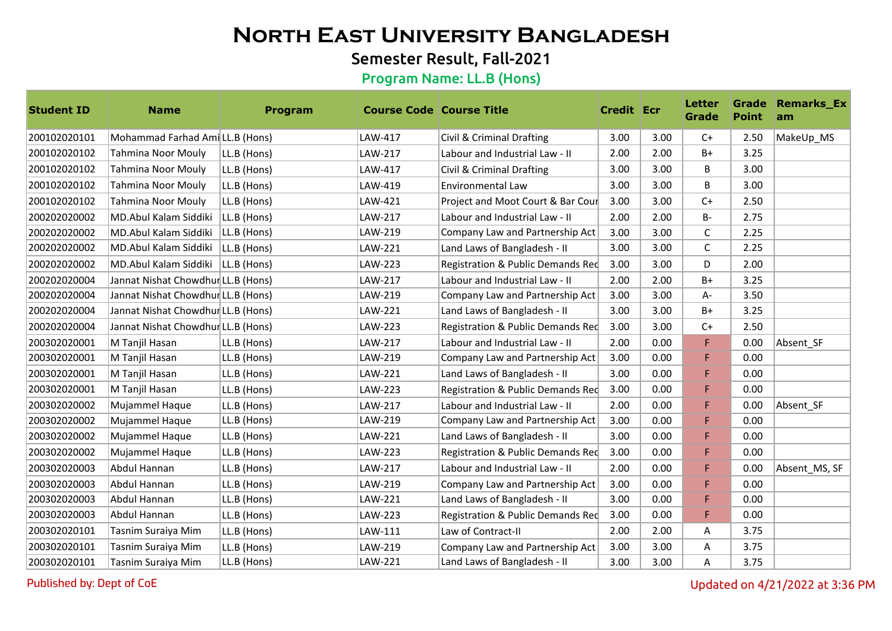## Semester Result, Fall-2021

#### Program Name: LL.B (Hons)

| <b>Student ID</b> | <b>Name</b>                        | Program     | <b>Course Code Course Title</b> |                                   | <b>Credit Ecr</b> |      | <b>Letter</b><br><b>Grade</b> | <b>Point</b> | <b>Grade Remarks_Ex</b><br>am |
|-------------------|------------------------------------|-------------|---------------------------------|-----------------------------------|-------------------|------|-------------------------------|--------------|-------------------------------|
| 200102020101      | Mohammad Farhad Ami LL.B (Hons)    |             | LAW-417                         | Civil & Criminal Drafting         | 3.00              | 3.00 | $C+$                          | 2.50         | MakeUp_MS                     |
| 200102020102      | Tahmina Noor Mouly                 | LL.B (Hons) | LAW-217                         | Labour and Industrial Law - II    | 2.00              | 2.00 | $B+$                          | 3.25         |                               |
| 200102020102      | Tahmina Noor Mouly                 | LL.B (Hons) | LAW-417                         | Civil & Criminal Drafting         | 3.00              | 3.00 | <sub>B</sub>                  | 3.00         |                               |
| 200102020102      | Tahmina Noor Mouly                 | LL.B (Hons) | LAW-419                         | Environmental Law                 | 3.00              | 3.00 | B                             | 3.00         |                               |
| 200102020102      | Tahmina Noor Mouly                 | LL.B (Hons) | LAW-421                         | Project and Moot Court & Bar Cour | 3.00              | 3.00 | $C+$                          | 2.50         |                               |
| 200202020002      | MD.Abul Kalam Siddiki              | LL.B (Hons) | LAW-217                         | Labour and Industrial Law - II    | 2.00              | 2.00 | <b>B-</b>                     | 2.75         |                               |
| 200202020002      | MD.Abul Kalam Siddiki              | LL.B (Hons) | LAW-219                         | Company Law and Partnership Act   | 3.00              | 3.00 | $\mathsf{C}$                  | 2.25         |                               |
| 200202020002      | MD.Abul Kalam Siddiki              | LL.B (Hons) | LAW-221                         | Land Laws of Bangladesh - II      | 3.00              | 3.00 | C                             | 2.25         |                               |
| 200202020002      | MD.Abul Kalam Siddiki              | LL.B (Hons) | LAW-223                         | Registration & Public Demands Red | 3.00              | 3.00 | D                             | 2.00         |                               |
| 200202020004      | Jannat Nishat ChowdhurLL.B (Hons)  |             | LAW-217                         | Labour and Industrial Law - II    | 2.00              | 2.00 | $B+$                          | 3.25         |                               |
| 200202020004      | Jannat Nishat Chowdhur LL.B (Hons) |             | LAW-219                         | Company Law and Partnership Act   | 3.00              | 3.00 | A-                            | 3.50         |                               |
| 200202020004      | Jannat Nishat Chowdhur LL.B (Hons) |             | LAW-221                         | Land Laws of Bangladesh - II      | 3.00              | 3.00 | $B+$                          | 3.25         |                               |
| 200202020004      | Jannat Nishat Chowdhur LL.B (Hons) |             | LAW-223                         | Registration & Public Demands Red | 3.00              | 3.00 | $C+$                          | 2.50         |                               |
| 200302020001      | M Tanjil Hasan                     | LL.B (Hons) | LAW-217                         | Labour and Industrial Law - II    | 2.00              | 0.00 | F                             | 0.00         | Absent SF                     |
| 200302020001      | M Tanjil Hasan                     | LL.B (Hons) | LAW-219                         | Company Law and Partnership Act   | 3.00              | 0.00 | F                             | 0.00         |                               |
| 200302020001      | M Tanjil Hasan                     | LL.B (Hons) | LAW-221                         | Land Laws of Bangladesh - II      | 3.00              | 0.00 | F                             | 0.00         |                               |
| 200302020001      | M Tanjil Hasan                     | LL.B (Hons) | LAW-223                         | Registration & Public Demands Red | 3.00              | 0.00 | F                             | 0.00         |                               |
| 200302020002      | Mujammel Haque                     | LL.B (Hons) | LAW-217                         | Labour and Industrial Law - II    | 2.00              | 0.00 | F                             | 0.00         | Absent SF                     |
| 200302020002      | Mujammel Haque                     | LL.B (Hons) | LAW-219                         | Company Law and Partnership Act   | 3.00              | 0.00 | F                             | 0.00         |                               |
| 200302020002      | Mujammel Haque                     | LL.B (Hons) | LAW-221                         | Land Laws of Bangladesh - II      | 3.00              | 0.00 | F                             | 0.00         |                               |
| 200302020002      | Mujammel Haque                     | LL.B (Hons) | LAW-223                         | Registration & Public Demands Red | 3.00              | 0.00 | F.                            | 0.00         |                               |
| 200302020003      | Abdul Hannan                       | LL.B (Hons) | LAW-217                         | Labour and Industrial Law - II    | 2.00              | 0.00 | F                             | 0.00         | Absent_MS, SF                 |
| 200302020003      | Abdul Hannan                       | LL.B (Hons) | LAW-219                         | Company Law and Partnership Act   | 3.00              | 0.00 | F.                            | 0.00         |                               |
| 200302020003      | Abdul Hannan                       | LL.B (Hons) | LAW-221                         | Land Laws of Bangladesh - II      | 3.00              | 0.00 | F                             | 0.00         |                               |
| 200302020003      | Abdul Hannan                       | LL.B (Hons) | LAW-223                         | Registration & Public Demands Red | 3.00              | 0.00 | F                             | 0.00         |                               |
| 200302020101      | Tasnim Suraiya Mim                 | LL.B (Hons) | LAW-111                         | Law of Contract-II                | 2.00              | 2.00 | A                             | 3.75         |                               |
| 200302020101      | Tasnim Suraiya Mim                 | LL.B (Hons) | LAW-219                         | Company Law and Partnership Act   | 3.00              | 3.00 | A                             | 3.75         |                               |
| 200302020101      | Tasnim Suraiya Mim                 | LL.B (Hons) | LAW-221                         | Land Laws of Bangladesh - II      | 3.00              | 3.00 | A                             | 3.75         |                               |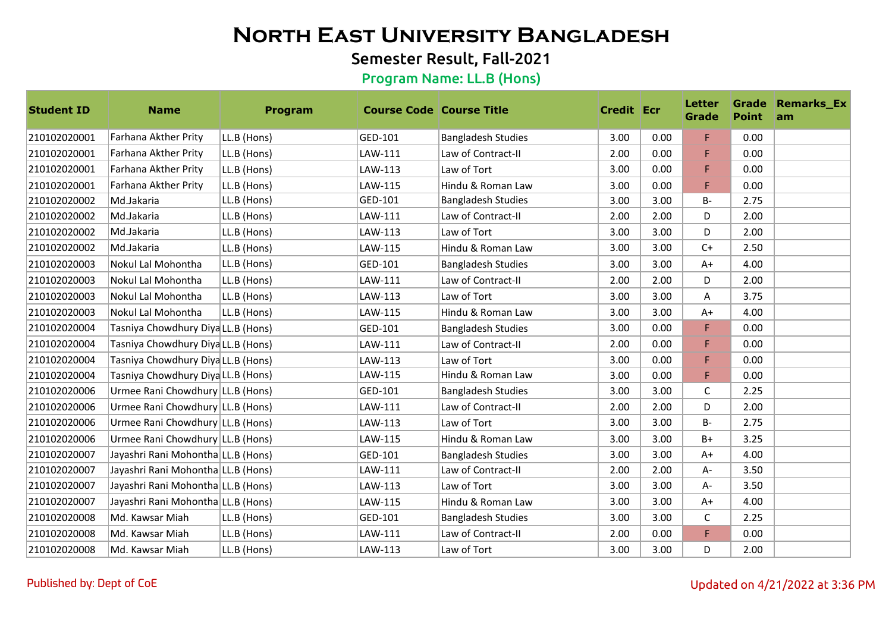## Semester Result, Fall-2021

| <b>Student ID</b> | <b>Name</b>                        | Program     | <b>Course Code   Course Title</b> |                           | <b>Credit Ecr</b> |      | <b>Letter</b><br><b>Grade</b> | <b>Point</b> | <b>Grade Remarks_Ex</b><br>am |
|-------------------|------------------------------------|-------------|-----------------------------------|---------------------------|-------------------|------|-------------------------------|--------------|-------------------------------|
| 210102020001      | Farhana Akther Prity               | LL.B (Hons) | GED-101                           | <b>Bangladesh Studies</b> | 3.00              | 0.00 | F                             | 0.00         |                               |
| 210102020001      | Farhana Akther Prity               | LL.B (Hons) | LAW-111                           | Law of Contract-II        | 2.00              | 0.00 | F.                            | 0.00         |                               |
| 210102020001      | Farhana Akther Prity               | LL.B (Hons) | LAW-113                           | Law of Tort               | 3.00              | 0.00 | F.                            | 0.00         |                               |
| 210102020001      | Farhana Akther Prity               | LL.B (Hons) | LAW-115                           | Hindu & Roman Law         | 3.00              | 0.00 | F.                            | 0.00         |                               |
| 210102020002      | Md.Jakaria                         | LL.B (Hons) | GED-101                           | <b>Bangladesh Studies</b> | 3.00              | 3.00 | $B -$                         | 2.75         |                               |
| 210102020002      | Md.Jakaria                         | LL.B (Hons) | LAW-111                           | Law of Contract-II        | 2.00              | 2.00 | D                             | 2.00         |                               |
| 210102020002      | Md.Jakaria                         | LL.B (Hons) | LAW-113                           | Law of Tort               | 3.00              | 3.00 | D                             | 2.00         |                               |
| 210102020002      | Md.Jakaria                         | LL.B (Hons) | LAW-115                           | Hindu & Roman Law         | 3.00              | 3.00 | $C+$                          | 2.50         |                               |
| 210102020003      | Nokul Lal Mohontha                 | LL.B (Hons) | GED-101                           | <b>Bangladesh Studies</b> | 3.00              | 3.00 | $A+$                          | 4.00         |                               |
| 210102020003      | Nokul Lal Mohontha                 | LL.B (Hons) | LAW-111                           | Law of Contract-II        | 2.00              | 2.00 | D                             | 2.00         |                               |
| 210102020003      | Nokul Lal Mohontha                 | LL.B (Hons) | LAW-113                           | Law of Tort               | 3.00              | 3.00 | Α                             | 3.75         |                               |
| 210102020003      | Nokul Lal Mohontha                 | LL.B (Hons) | LAW-115                           | Hindu & Roman Law         | 3.00              | 3.00 | $A+$                          | 4.00         |                               |
| 210102020004      | Tasniya Chowdhury DiyaLLL.B (Hons) |             | GED-101                           | <b>Bangladesh Studies</b> | 3.00              | 0.00 | F.                            | 0.00         |                               |
| 210102020004      | Tasniya Chowdhury DiyaLLL.B (Hons) |             | LAW-111                           | Law of Contract-II        | 2.00              | 0.00 | F.                            | 0.00         |                               |
| 210102020004      | Tasniya Chowdhury DiyaLLL.B (Hons) |             | LAW-113                           | Law of Tort               | 3.00              | 0.00 | F                             | 0.00         |                               |
| 210102020004      | Tasniya Chowdhury DiyaLL.B (Hons)  |             | LAW-115                           | Hindu & Roman Law         | 3.00              | 0.00 | F                             | 0.00         |                               |
| 210102020006      | Urmee Rani Chowdhury LL.B (Hons)   |             | GED-101                           | <b>Bangladesh Studies</b> | 3.00              | 3.00 | $\mathsf{C}$                  | 2.25         |                               |
| 210102020006      | Urmee Rani Chowdhury LL.B (Hons)   |             | LAW-111                           | Law of Contract-II        | 2.00              | 2.00 | D                             | 2.00         |                               |
| 210102020006      | Urmee Rani Chowdhury LL.B (Hons)   |             | LAW-113                           | Law of Tort               | 3.00              | 3.00 | $B -$                         | 2.75         |                               |
| 210102020006      | Urmee Rani Chowdhury LL.B (Hons)   |             | LAW-115                           | Hindu & Roman Law         | 3.00              | 3.00 | $B+$                          | 3.25         |                               |
| 210102020007      | Jayashri Rani Mohontha LL.B (Hons) |             | GED-101                           | <b>Bangladesh Studies</b> | 3.00              | 3.00 | $A+$                          | 4.00         |                               |
| 210102020007      | Jayashri Rani Mohontha LL.B (Hons) |             | LAW-111                           | Law of Contract-II        | 2.00              | 2.00 | A-                            | 3.50         |                               |
| 210102020007      | Jayashri Rani Mohontha LL.B (Hons) |             | LAW-113                           | Law of Tort               | 3.00              | 3.00 | A-                            | 3.50         |                               |
| 210102020007      | Jayashri Rani Mohontha LL.B (Hons) |             | LAW-115                           | Hindu & Roman Law         | 3.00              | 3.00 | $A+$                          | 4.00         |                               |
| 210102020008      | Md. Kawsar Miah                    | LL.B (Hons) | GED-101                           | <b>Bangladesh Studies</b> | 3.00              | 3.00 | $\mathsf C$                   | 2.25         |                               |
| 210102020008      | Md. Kawsar Miah                    | LL.B (Hons) | LAW-111                           | Law of Contract-II        | 2.00              | 0.00 | F                             | 0.00         |                               |
| 210102020008      | Md. Kawsar Miah                    | LL.B (Hons) | LAW-113                           | Law of Tort               | 3.00              | 3.00 | D                             | 2.00         |                               |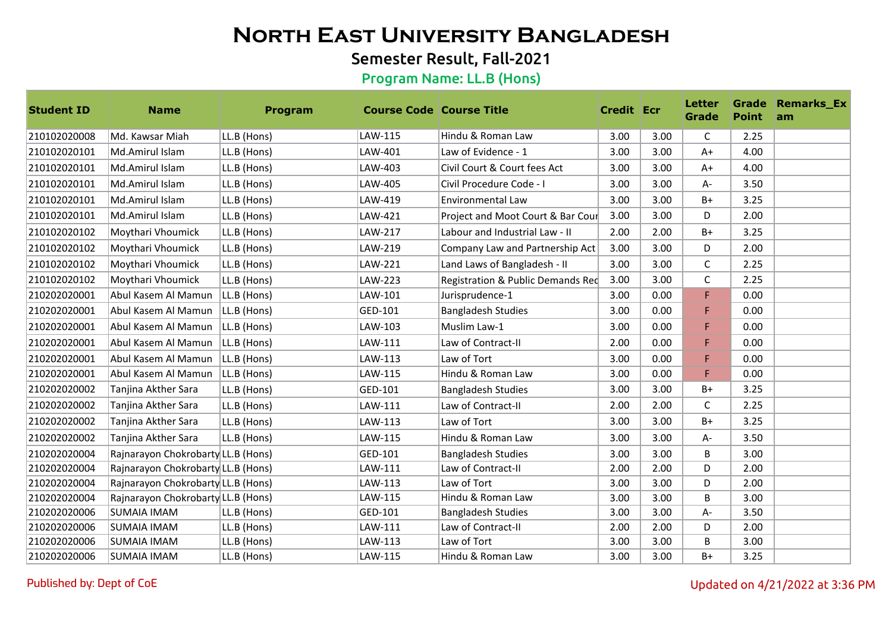## Semester Result, Fall-2021

| <b>Student ID</b> | <b>Name</b>                        | Program        | <b>Course Code Course Title</b> |                                   | <b>Credit Ecr</b> |      | <b>Letter</b><br><b>Grade</b> | <b>Point</b> | <b>Grade Remarks_Ex</b><br>am |
|-------------------|------------------------------------|----------------|---------------------------------|-----------------------------------|-------------------|------|-------------------------------|--------------|-------------------------------|
| 210102020008      | Md. Kawsar Miah                    | LL.B (Hons)    | LAW-115                         | Hindu & Roman Law                 | 3.00              | 3.00 | $\mathsf C$                   | 2.25         |                               |
| 210102020101      | Md.Amirul Islam                    | LL.B (Hons)    | LAW-401                         | Law of Evidence - 1               | 3.00              | 3.00 | $A+$                          | 4.00         |                               |
| 210102020101      | Md.Amirul Islam                    | LL.B (Hons)    | LAW-403                         | Civil Court & Court fees Act      | 3.00              | 3.00 | $A+$                          | 4.00         |                               |
| 210102020101      | Md.Amirul Islam                    | LL.B (Hons)    | LAW-405                         | Civil Procedure Code - I          | 3.00              | 3.00 | A-                            | 3.50         |                               |
| 210102020101      | Md.Amirul Islam                    | LL.B (Hons)    | LAW-419                         | <b>Environmental Law</b>          | 3.00              | 3.00 | $B+$                          | 3.25         |                               |
| 210102020101      | Md.Amirul Islam                    | LL.B (Hons)    | LAW-421                         | Project and Moot Court & Bar Cour | 3.00              | 3.00 | D                             | 2.00         |                               |
| 210102020102      | Moythari Vhoumick                  | LL.B (Hons)    | LAW-217                         | Labour and Industrial Law - II    | 2.00              | 2.00 | $B+$                          | 3.25         |                               |
| 210102020102      | Moythari Vhoumick                  | LL.B (Hons)    | LAW-219                         | Company Law and Partnership Act   | 3.00              | 3.00 | D                             | 2.00         |                               |
| 210102020102      | Moythari Vhoumick                  | LL.B (Hons)    | LAW-221                         | Land Laws of Bangladesh - II      | 3.00              | 3.00 | $\mathsf C$                   | 2.25         |                               |
| 210102020102      | Moythari Vhoumick                  | LL.B (Hons)    | LAW-223                         | Registration & Public Demands Red | 3.00              | 3.00 | C                             | 2.25         |                               |
| 210202020001      | Abul Kasem Al Mamun                | LL.B (Hons)    | LAW-101                         | Jurisprudence-1                   | 3.00              | 0.00 | F                             | 0.00         |                               |
| 210202020001      | Abul Kasem Al Mamun                | $ LL.B$ (Hons) | GED-101                         | <b>Bangladesh Studies</b>         | 3.00              | 0.00 | F                             | 0.00         |                               |
| 210202020001      | Abul Kasem Al Mamun                | $ LL.B$ (Hons) | LAW-103                         | Muslim Law-1                      | 3.00              | 0.00 | F                             | 0.00         |                               |
| 210202020001      | Abul Kasem Al Mamun   LL.B (Hons)  |                | LAW-111                         | Law of Contract-II                | 2.00              | 0.00 | F                             | 0.00         |                               |
| 210202020001      | Abul Kasem Al Mamun                | $ LL.B$ (Hons) | LAW-113                         | Law of Tort                       | 3.00              | 0.00 | F.                            | 0.00         |                               |
| 210202020001      | Abul Kasem Al Mamun                | LL.B (Hons)    | LAW-115                         | Hindu & Roman Law                 | 3.00              | 0.00 | F                             | 0.00         |                               |
| 210202020002      | Tanjina Akther Sara                | LL.B (Hons)    | GED-101                         | <b>Bangladesh Studies</b>         | 3.00              | 3.00 | $B+$                          | 3.25         |                               |
| 210202020002      | Tanjina Akther Sara                | LL.B (Hons)    | LAW-111                         | Law of Contract-II                | 2.00              | 2.00 | C                             | 2.25         |                               |
| 210202020002      | Tanjina Akther Sara                | LL.B (Hons)    | LAW-113                         | Law of Tort                       | 3.00              | 3.00 | $B+$                          | 3.25         |                               |
| 210202020002      | Tanjina Akther Sara                | LL.B (Hons)    | LAW-115                         | Hindu & Roman Law                 | 3.00              | 3.00 | A-                            | 3.50         |                               |
| 210202020004      | Rajnarayon Chokrobarty LL.B (Hons) |                | GED-101                         | <b>Bangladesh Studies</b>         | 3.00              | 3.00 | B                             | 3.00         |                               |
| 210202020004      | Rajnarayon Chokrobarty LL.B (Hons) |                | LAW-111                         | Law of Contract-II                | 2.00              | 2.00 | D                             | 2.00         |                               |
| 210202020004      | Rajnarayon Chokrobarty LL.B (Hons) |                | LAW-113                         | Law of Tort                       | 3.00              | 3.00 | D                             | 2.00         |                               |
| 210202020004      | Rajnarayon Chokrobarty LL.B (Hons) |                | LAW-115                         | Hindu & Roman Law                 | 3.00              | 3.00 | B                             | 3.00         |                               |
| 210202020006      | <b>SUMAIA IMAM</b>                 | LL.B (Hons)    | GED-101                         | <b>Bangladesh Studies</b>         | 3.00              | 3.00 | $A -$                         | 3.50         |                               |
| 210202020006      | <b>SUMAIA IMAM</b>                 | LL.B (Hons)    | LAW-111                         | Law of Contract-II                | 2.00              | 2.00 | D                             | 2.00         |                               |
| 210202020006      | <b>SUMAIA IMAM</b>                 | LL.B (Hons)    | LAW-113                         | Law of Tort                       | 3.00              | 3.00 | B                             | 3.00         |                               |
| 210202020006      | SUMAIA IMAM                        | LL.B (Hons)    | LAW-115                         | Hindu & Roman Law                 | 3.00              | 3.00 | $B+$                          | 3.25         |                               |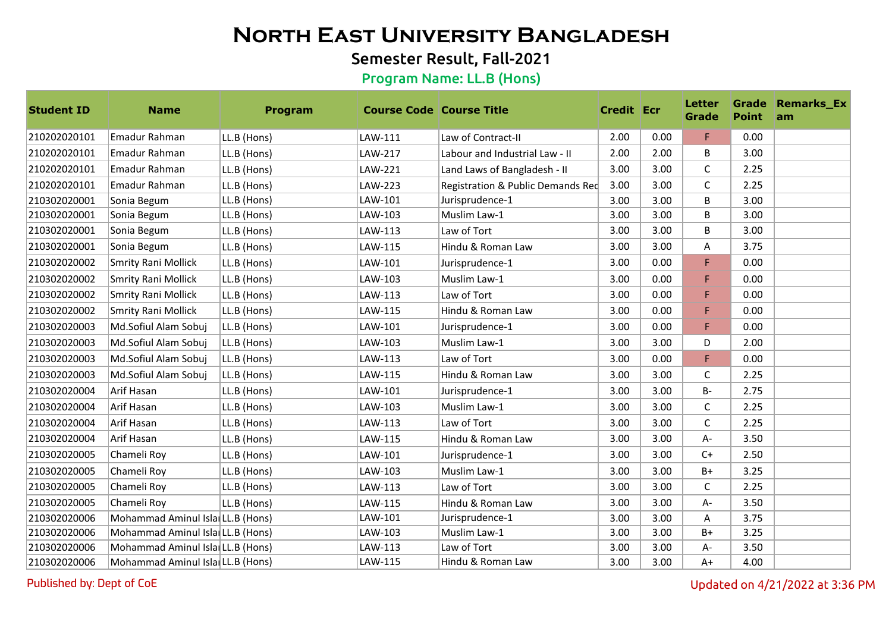## Semester Result, Fall-2021

#### Program Name: LL.B (Hons)

| <b>Student ID</b> | <b>Name</b>                      | Program     | <b>Course Code Course Title</b> |                                   | <b>Credit Ecr</b> |      | <b>Letter</b><br>Grade | <b>Point</b> | <b>Grade Remarks_Ex</b><br>am |
|-------------------|----------------------------------|-------------|---------------------------------|-----------------------------------|-------------------|------|------------------------|--------------|-------------------------------|
| 210202020101      | Emadur Rahman                    | LL.B (Hons) | LAW-111                         | Law of Contract-II                | 2.00              | 0.00 | F                      | 0.00         |                               |
| 210202020101      | Emadur Rahman                    | LL.B (Hons) | LAW-217                         | Labour and Industrial Law - II    | 2.00              | 2.00 | B                      | 3.00         |                               |
| 210202020101      | Emadur Rahman                    | LL.B (Hons) | LAW-221                         | Land Laws of Bangladesh - II      | 3.00              | 3.00 | C                      | 2.25         |                               |
| 210202020101      | Emadur Rahman                    | LL.B (Hons) | LAW-223                         | Registration & Public Demands Red | 3.00              | 3.00 | $\mathsf C$            | 2.25         |                               |
| 210302020001      | Sonia Begum                      | LL.B (Hons) | LAW-101                         | Jurisprudence-1                   | 3.00              | 3.00 | B                      | 3.00         |                               |
| 210302020001      | Sonia Begum                      | LL.B (Hons) | LAW-103                         | Muslim Law-1                      | 3.00              | 3.00 | B                      | 3.00         |                               |
| 210302020001      | Sonia Begum                      | LL.B (Hons) | LAW-113                         | Law of Tort                       | 3.00              | 3.00 | B                      | 3.00         |                               |
| 210302020001      | Sonia Begum                      | LL.B (Hons) | LAW-115                         | Hindu & Roman Law                 | 3.00              | 3.00 | Α                      | 3.75         |                               |
| 210302020002      | <b>Smrity Rani Mollick</b>       | LL.B (Hons) | LAW-101                         | Jurisprudence-1                   | 3.00              | 0.00 | F                      | 0.00         |                               |
| 210302020002      | Smrity Rani Mollick              | LL.B (Hons) | LAW-103                         | Muslim Law-1                      | 3.00              | 0.00 | F                      | 0.00         |                               |
| 210302020002      | Smrity Rani Mollick              | LL.B (Hons) | LAW-113                         | Law of Tort                       | 3.00              | 0.00 | F                      | 0.00         |                               |
| 210302020002      | Smrity Rani Mollick              | LL.B (Hons) | LAW-115                         | Hindu & Roman Law                 | 3.00              | 0.00 | F                      | 0.00         |                               |
| 210302020003      | Md.Sofiul Alam Sobuj             | LL.B (Hons) | LAW-101                         | Jurisprudence-1                   | 3.00              | 0.00 | F                      | 0.00         |                               |
| 210302020003      | Md.Sofiul Alam Sobuj             | LL.B (Hons) | LAW-103                         | Muslim Law-1                      | 3.00              | 3.00 | D                      | 2.00         |                               |
| 210302020003      | Md.Sofiul Alam Sobuj             | LL.B (Hons) | LAW-113                         | Law of Tort                       | 3.00              | 0.00 | F                      | 0.00         |                               |
| 210302020003      | Md.Sofiul Alam Sobuj             | LL.B (Hons) | LAW-115                         | Hindu & Roman Law                 | 3.00              | 3.00 | $\mathsf{C}$           | 2.25         |                               |
| 210302020004      | Arif Hasan                       | LL.B (Hons) | LAW-101                         | Jurisprudence-1                   | 3.00              | 3.00 | <b>B-</b>              | 2.75         |                               |
| 210302020004      | Arif Hasan                       | LL.B (Hons) | LAW-103                         | Muslim Law-1                      | 3.00              | 3.00 | С                      | 2.25         |                               |
| 210302020004      | Arif Hasan                       | LL.B (Hons) | LAW-113                         | Law of Tort                       | 3.00              | 3.00 | C                      | 2.25         |                               |
| 210302020004      | Arif Hasan                       | LL.B (Hons) | LAW-115                         | Hindu & Roman Law                 | 3.00              | 3.00 | А-                     | 3.50         |                               |
| 210302020005      | Chameli Roy                      | LL.B (Hons) | LAW-101                         | Jurisprudence-1                   | 3.00              | 3.00 | $C+$                   | 2.50         |                               |
| 210302020005      | Chameli Roy                      | LL.B (Hons) | LAW-103                         | Muslim Law-1                      | 3.00              | 3.00 | B+                     | 3.25         |                               |
| 210302020005      | Chameli Roy                      | LL.B (Hons) | LAW-113                         | Law of Tort                       | 3.00              | 3.00 | C                      | 2.25         |                               |
| 210302020005      | Chameli Roy                      | LL.B (Hons) | LAW-115                         | Hindu & Roman Law                 | 3.00              | 3.00 | А-                     | 3.50         |                               |
| 210302020006      | Mohammad Aminul IslaiLL.B (Hons) |             | LAW-101                         | Jurisprudence-1                   | 3.00              | 3.00 | A                      | 3.75         |                               |
| 210302020006      | Mohammad Aminul IslarLL.B (Hons) |             | LAW-103                         | Muslim Law-1                      | 3.00              | 3.00 | $B+$                   | 3.25         |                               |
| 210302020006      | Mohammad Aminul Isla LL.B (Hons) |             | LAW-113                         | Law of Tort                       | 3.00              | 3.00 | А-                     | 3.50         |                               |
| 210302020006      | Mohammad Aminul IslaiLL.B (Hons) |             | LAW-115                         | Hindu & Roman Law                 | 3.00              | 3.00 | $A+$                   | 4.00         |                               |